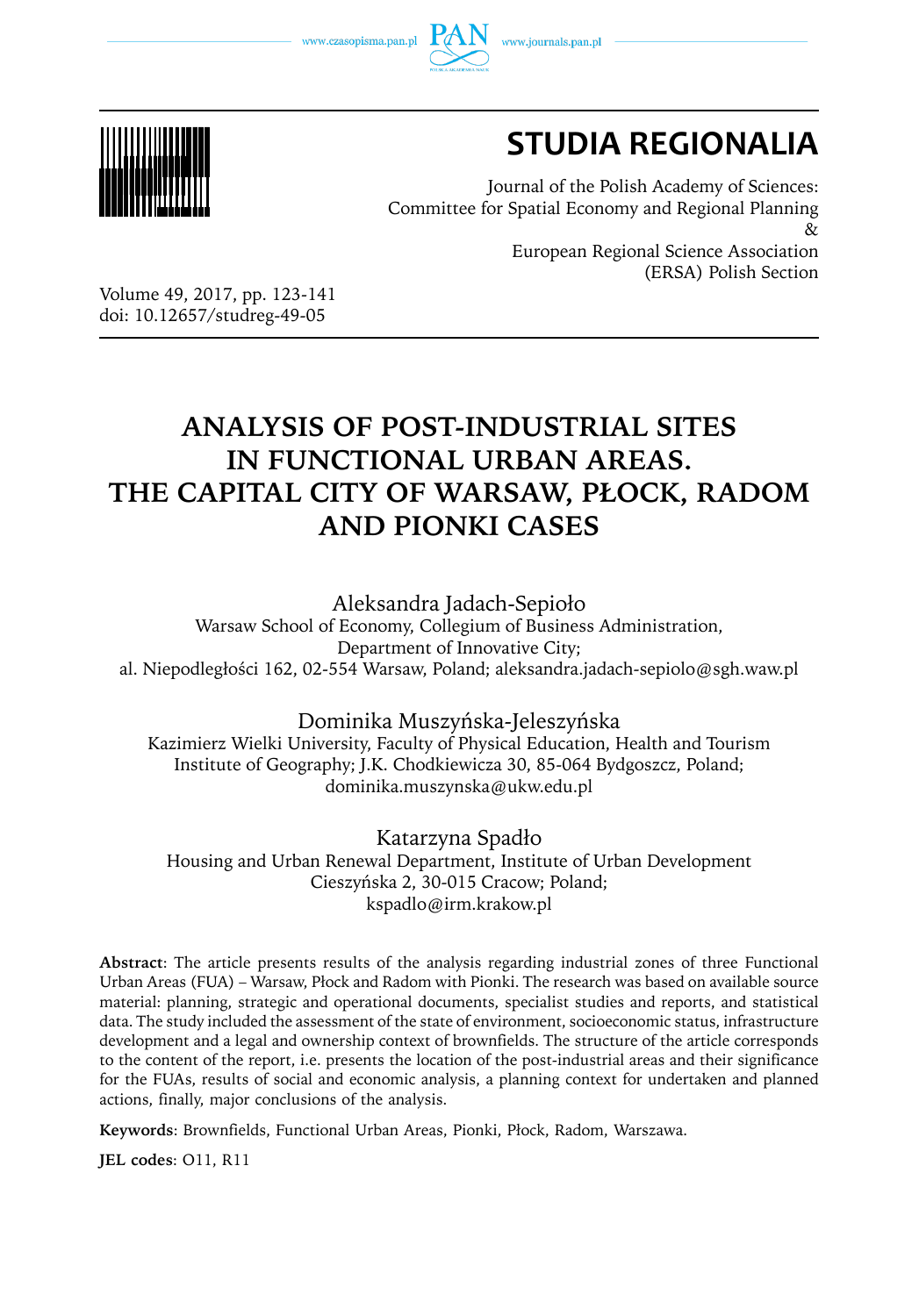www.czasopisma.pan.pl





# **STUDIA REGIONALIA**

Journal of the Polish Academy of Sciences: Committee for Spatial Economy and Regional Planning  $\chi$ European Regional Science Association (ERSA) Polish Section

Volume 49, 2017, pp. 123-141 doi: 10.12657/studreg-49-05

# **ANALYSIS OF POST-INDUSTRIAL SITES IN FUNCTIONAL URBAN AREAS. THE CAPITAL CITY OF WARSAW, PŁOCK, RADOM AND PIONKI CASES**

Aleksandra Jadach-Sepioło

Warsaw School of Economy, Collegium of Business Administration, Department of Innovative City; al. Niepodległości 162, 02-554 Warsaw, Poland; aleksandra.jadach-sepiolo@sgh.waw.pl

#### Dominika Muszyńska-Jeleszyńska

Kazimierz Wielki University, Faculty of Physical Education, Health and Tourism Institute of Geography; J.K. Chodkiewicza 30, 85-064 Bydgoszcz, Poland; dominika.muszynska@ukw.edu.pl

#### Katarzyna Spadło

Housing and Urban Renewal Department, Institute of Urban Development Cieszyńska 2, 30-015 Cracow; Poland; kspadlo@irm.krakow.pl

**Abstract**: The article presents results of the analysis regarding industrial zones of three Functional Urban Areas (FUA) – Warsaw, Płock and Radom with Pionki. The research was based on available source material: planning, strategic and operational documents, specialist studies and reports, and statistical data. The study included the assessment of the state of environment, socioeconomic status, infrastructure development and a legal and ownership context of brownfields. The structure of the article corresponds to the content of the report, i.e. presents the location of the post-industrial areas and their significance for the FUAs, results of social and economic analysis, a planning context for undertaken and planned actions, finally, major conclusions of the analysis.

**Keywords**: Brownfields, Functional Urban Areas, Pionki, Płock, Radom, Warszawa.

**JEL codes**: O11, R11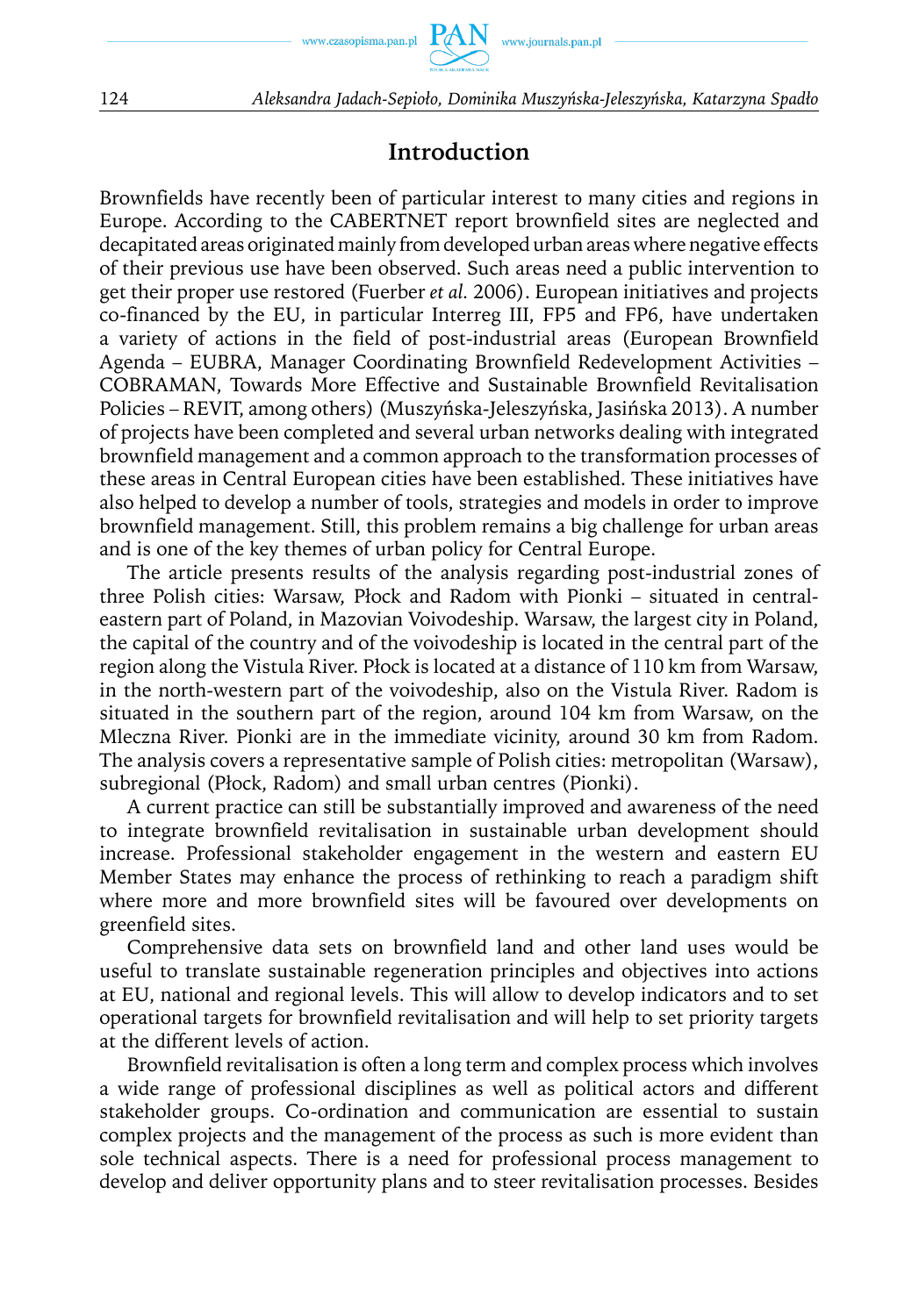

124 *Aleksandra Jadach-Sepioło, Dominika Muszyńska-Jeleszyńska, Katarzyna Spadło*

## **Introduction**

Brownfields have recently been of particular interest to many cities and regions in Europe. According to the CABERTNET report brownfield sites are neglected and decapitated areas originated mainly from developed urban areas where negative effects of their previous use have been observed. Such areas need a public intervention to get their proper use restored (Fuerber *et al.* 2006). European initiatives and projects co-financed by the EU, in particular Interreg III, FP5 and FP6, have undertaken a variety of actions in the field of post-industrial areas (European Brownfield Agenda – EUBRA, Manager Coordinating Brownfield Redevelopment Activities – COBRAMAN, Towards More Effective and Sustainable Brownfield Revitalisation Policies – REVIT, among others) (Muszyńska-Jeleszyńska, Jasińska 2013). A number of projects have been completed and several urban networks dealing with integrated brownfield management and a common approach to the transformation processes of these areas in Central European cities have been established. These initiatives have also helped to develop a number of tools, strategies and models in order to improve brownfield management. Still, this problem remains a big challenge for urban areas and is one of the key themes of urban policy for Central Europe.

The article presents results of the analysis regarding post-industrial zones of three Polish cities: Warsaw, Płock and Radom with Pionki – situated in centraleastern part of Poland, in Mazovian Voivodeship. Warsaw, the largest city in Poland, the capital of the country and of the voivodeship is located in the central part of the region along the Vistula River. Płock is located at a distance of 110 km from Warsaw, in the north-western part of the voivodeship, also on the Vistula River. Radom is situated in the southern part of the region, around 104 km from Warsaw, on the Mleczna River. Pionki are in the immediate vicinity, around 30 km from Radom. The analysis covers a representative sample of Polish cities: metropolitan (Warsaw), subregional (Płock, Radom) and small urban centres (Pionki).

A current practice can still be substantially improved and awareness of the need to integrate brownfield revitalisation in sustainable urban development should increase. Professional stakeholder engagement in the western and eastern EU Member States may enhance the process of rethinking to reach a paradigm shift where more and more brownfield sites will be favoured over developments on greenfield sites.

Comprehensive data sets on brownfield land and other land uses would be useful to translate sustainable regeneration principles and objectives into actions at EU, national and regional levels. This will allow to develop indicators and to set operational targets for brownfield revitalisation and will help to set priority targets at the different levels of action.

Brownfield revitalisation is often a long term and complex process which involves a wide range of professional disciplines as well as political actors and different stakeholder groups. Co-ordination and communication are essential to sustain complex projects and the management of the process as such is more evident than sole technical aspects. There is a need for professional process management to develop and deliver opportunity plans and to steer revitalisation processes. Besides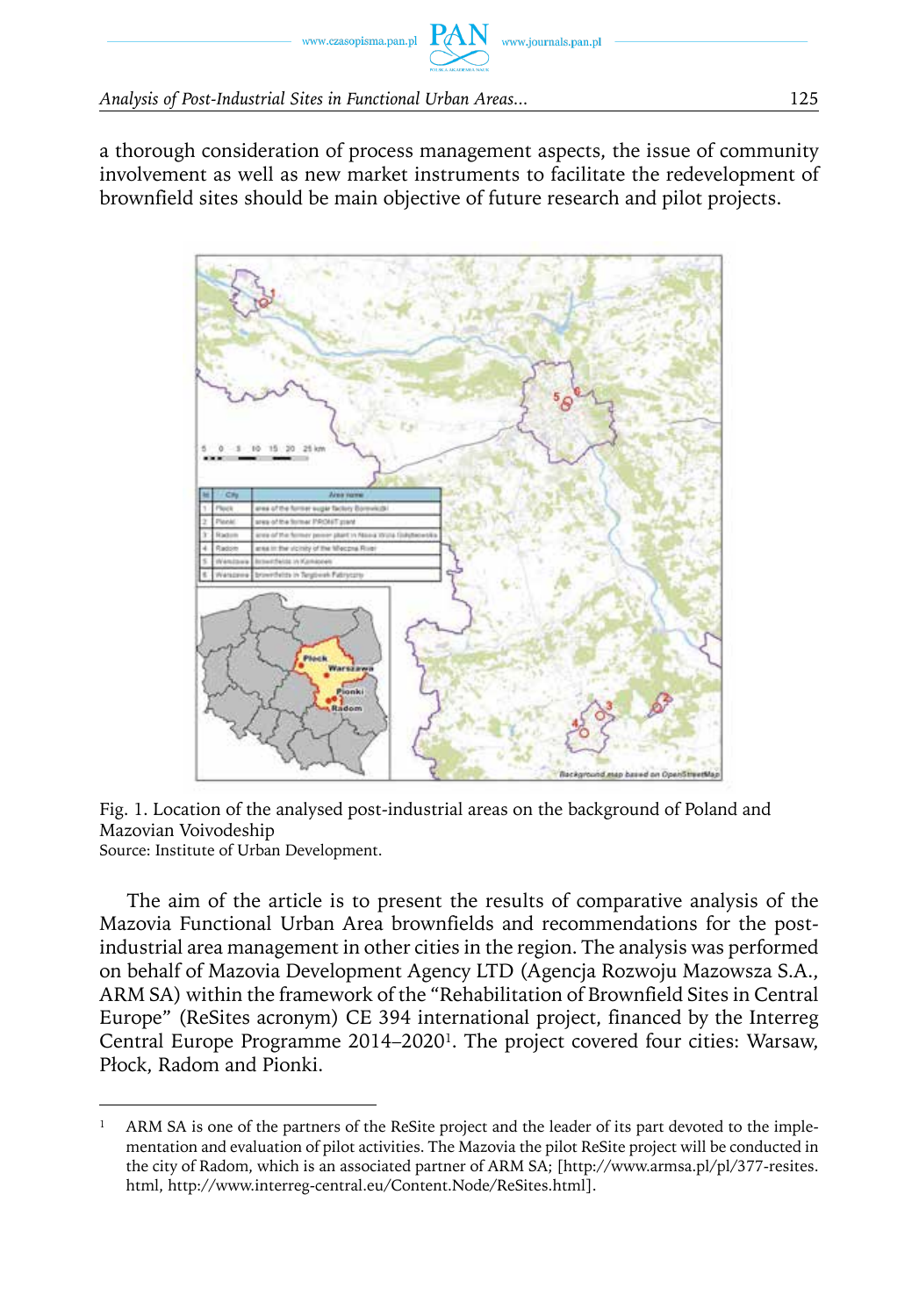a thorough consideration of process management aspects, the issue of community involvement as well as new market instruments to facilitate the redevelopment of brownfield sites should be main objective of future research and pilot projects.

www.journals.pan.pl



Fig. 1. Location of the analysed post-industrial areas on the background of Poland and Mazovian Voivodeship

Source: Institute of Urban Development.

The aim of the article is to present the results of comparative analysis of the Mazovia Functional Urban Area brownfields and recommendations for the postindustrial area management in other cities in the region. The analysis was performed on behalf of Mazovia Development Agency LTD (Agencja Rozwoju Mazowsza S.A., ARM SA) within the framework of the "Rehabilitation of Brownfield Sites in Central Europe" (ReSites acronym) CE 394 international project, financed by the Interreg Central Europe Programme 2014–20201. The project covered four cities: Warsaw, Płock, Radom and Pionki.

<sup>&</sup>lt;sup>1</sup> ARM SA is one of the partners of the ReSite project and the leader of its part devoted to the implementation and evaluation of pilot activities. The Mazovia the pilot ReSite project will be conducted in the city of Radom, which is an associated partner of ARM SA; [http://www.armsa.pl/pl/377-resites. html, http://www.interreg-central.eu/Content.Node/ReSites.html].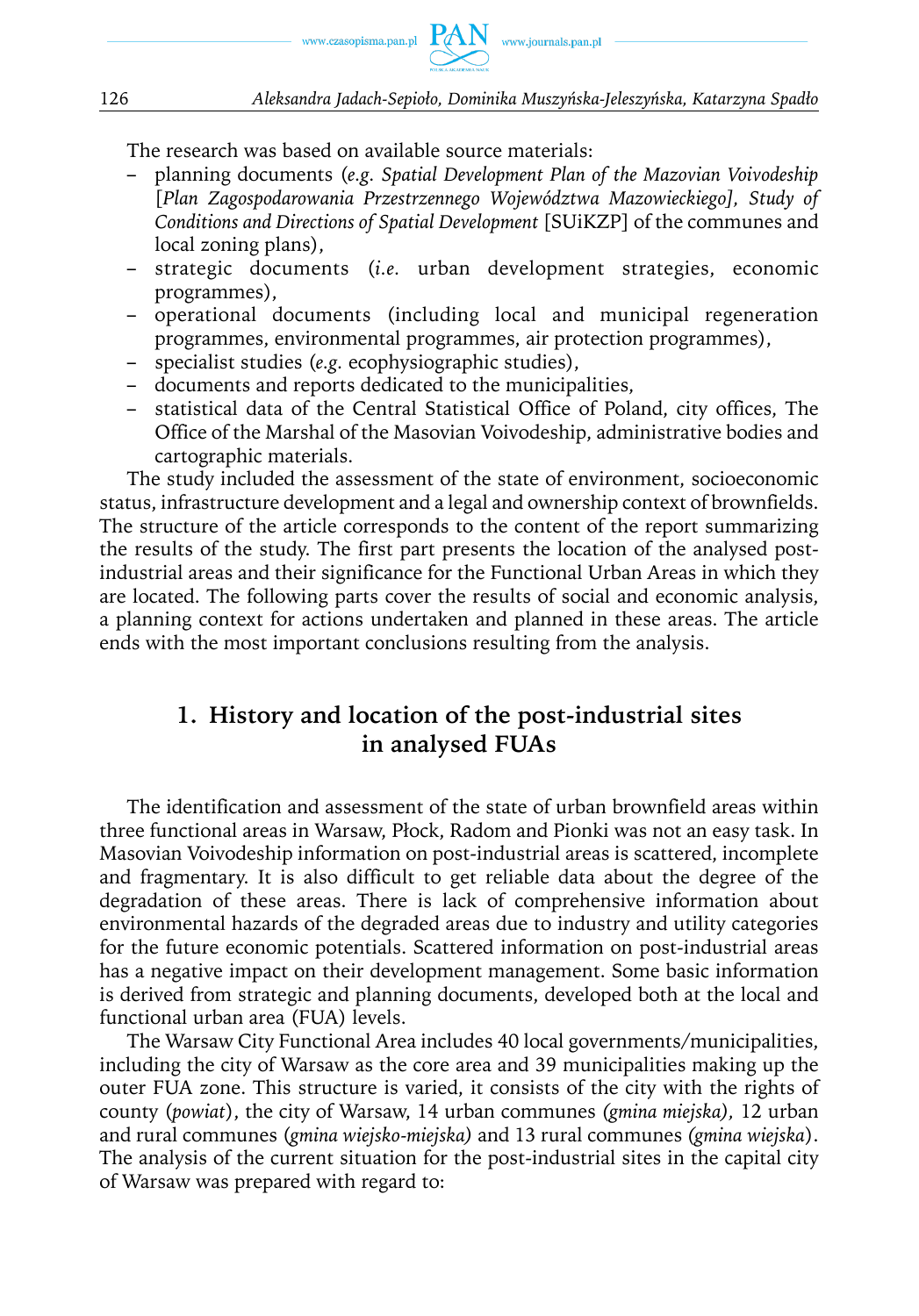

The research was based on available source materials:

- planning documents (*e.g. Spatial Development Plan of the Mazovian Voivodeship* [*Plan Zagospodarowania Przestrzennego Województwa Mazowieckiego], Study of Conditions and Directions of Spatial Development* [SUiKZP] of the communes and local zoning plans),
- strategic documents (*i.e.* urban development strategies, economic programmes),
- operational documents (including local and municipal regeneration programmes, environmental programmes, air protection programmes),
- specialist studies (*e.g.* ecophysiographic studies),
- documents and reports dedicated to the municipalities,
- statistical data of the Central Statistical Office of Poland, city offices, The Office of the Marshal of the Masovian Voivodeship, administrative bodies and cartographic materials.

The study included the assessment of the state of environment, socioeconomic status, infrastructure development and a legal and ownership context of brownfields. The structure of the article corresponds to the content of the report summarizing the results of the study. The first part presents the location of the analysed postindustrial areas and their significance for the Functional Urban Areas in which they are located. The following parts cover the results of social and economic analysis, a planning context for actions undertaken and planned in these areas. The article ends with the most important conclusions resulting from the analysis.

## **1. History and location of the post-industrial sites in analysed FUAs**

The identification and assessment of the state of urban brownfield areas within three functional areas in Warsaw, Płock, Radom and Pionki was not an easy task. In Masovian Voivodeship information on post-industrial areas is scattered, incomplete and fragmentary. It is also difficult to get reliable data about the degree of the degradation of these areas. There is lack of comprehensive information about environmental hazards of the degraded areas due to industry and utility categories for the future economic potentials. Scattered information on post-industrial areas has a negative impact on their development management. Some basic information is derived from strategic and planning documents, developed both at the local and functional urban area (FUA) levels.

The Warsaw City Functional Area includes 40 local governments/municipalities, including the city of Warsaw as the core area and 39 municipalities making up the outer FUA zone. This structure is varied, it consists of the city with the rights of county (*powiat*), the city of Warsaw, 14 urban communes *(gmina miejska),* 12 urban and rural communes (*gmina wiejsko-miejska)* and 13 rural communes *(gmina wiejska*). The analysis of the current situation for the post-industrial sites in the capital city of Warsaw was prepared with regard to: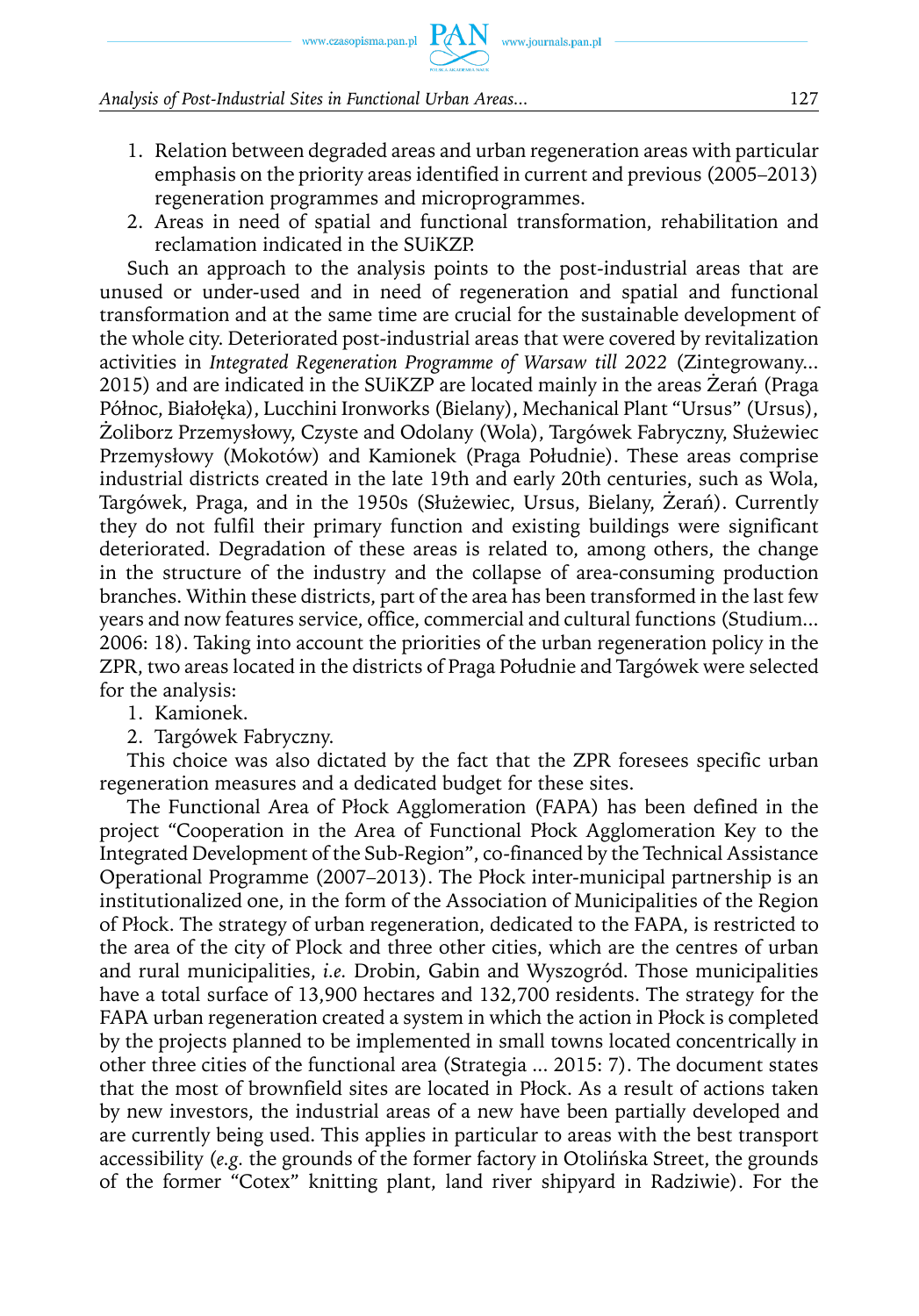#### *Analysis of Post-Industrial Sites in Functional Urban Areas...* 127

- 1. Relation between degraded areas and urban regeneration areas with particular emphasis on the priority areas identified in current and previous (2005–2013) regeneration programmes and microprogrammes.
- 2. Areas in need of spatial and functional transformation, rehabilitation and reclamation indicated in the SUiKZP.

Such an approach to the analysis points to the post-industrial areas that are unused or under-used and in need of regeneration and spatial and functional transformation and at the same time are crucial for the sustainable development of the whole city. Deteriorated post-industrial areas that were covered by revitalization activities in *Integrated Regeneration Programme of Warsaw till 2022* (Zintegrowany... 2015) and are indicated in the SUiKZP are located mainly in the areas Żerań (Praga Północ, Białołęka), Lucchini Ironworks (Bielany), Mechanical Plant "Ursus" (Ursus), Żoliborz Przemysłowy, Czyste and Odolany (Wola), Targówek Fabryczny, Służewiec Przemysłowy (Mokotów) and Kamionek (Praga Południe). These areas comprise industrial districts created in the late 19th and early 20th centuries, such as Wola, Targówek, Praga, and in the 1950s (Służewiec, Ursus, Bielany, Żerań). Currently they do not fulfil their primary function and existing buildings were significant deteriorated. Degradation of these areas is related to, among others, the change in the structure of the industry and the collapse of area-consuming production branches. Within these districts, part of the area has been transformed in the last few years and now features service, office, commercial and cultural functions (Studium... 2006: 18). Taking into account the priorities of the urban regeneration policy in the ZPR, two areas located in the districts of Praga Południe and Targówek were selected for the analysis:

- 1. Kamionek.
- 2. Targówek Fabryczny.

This choice was also dictated by the fact that the ZPR foresees specific urban regeneration measures and a dedicated budget for these sites.

The Functional Area of Płock Agglomeration (FAPA) has been defined in the project "Cooperation in the Area of Functional Płock Agglomeration Key to the Integrated Development of the Sub-Region", co-financed by the Technical Assistance Operational Programme (2007–2013). The Płock inter-municipal partnership is an institutionalized one, in the form of the Association of Municipalities of the Region of Płock. The strategy of urban regeneration, dedicated to the FAPA, is restricted to the area of the city of Plock and three other cities, which are the centres of urban and rural municipalities, *i.e.* Drobin, Gabin and Wyszogród. Those municipalities have a total surface of 13,900 hectares and 132,700 residents. The strategy for the FAPA urban regeneration created a system in which the action in Płock is completed by the projects planned to be implemented in small towns located concentrically in other three cities of the functional area (Strategia ... 2015: 7). The document states that the most of brownfield sites are located in Płock. As a result of actions taken by new investors, the industrial areas of a new have been partially developed and are currently being used. This applies in particular to areas with the best transport accessibility (*e.g.* the grounds of the former factory in Otolińska Street, the grounds of the former "Cotex" knitting plant, land river shipyard in Radziwie). For the

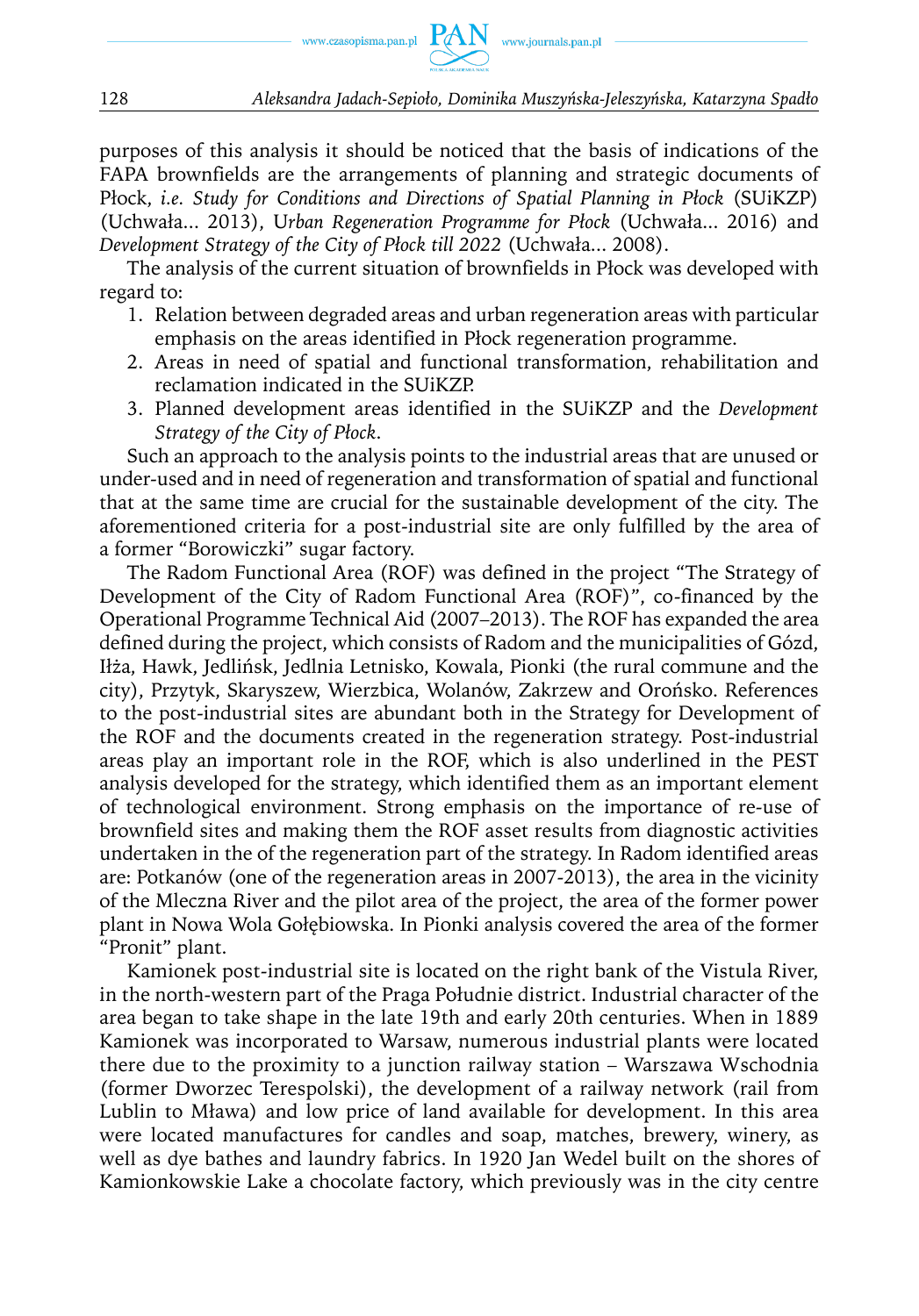

purposes of this analysis it should be noticed that the basis of indications of the FAPA brownfields are the arrangements of planning and strategic documents of Płock, *i.e. Study for Conditions and Directions of Spatial Planning in Płock* (SUiKZP) (Uchwała... 2013), U*rban Regeneration Programme for Płock* (Uchwała... 2016) and *Development Strategy of the City of Płock till 2022* (Uchwała... 2008).

The analysis of the current situation of brownfields in Płock was developed with regard to:

- 1. Relation between degraded areas and urban regeneration areas with particular emphasis on the areas identified in Płock regeneration programme.
- 2. Areas in need of spatial and functional transformation, rehabilitation and reclamation indicated in the SUiKZP.
- 3. Planned development areas identified in the SUiKZP and the *Development Strategy of the City of Płock*.

Such an approach to the analysis points to the industrial areas that are unused or under-used and in need of regeneration and transformation of spatial and functional that at the same time are crucial for the sustainable development of the city. The aforementioned criteria for a post-industrial site are only fulfilled by the area of a former "Borowiczki" sugar factory.

The Radom Functional Area (ROF) was defined in the project "The Strategy of Development of the City of Radom Functional Area (ROF)", co-financed by the Operational Programme Technical Aid (2007–2013). The ROF has expanded the area defined during the project, which consists of Radom and the municipalities of Gózd, Iłża, Hawk, Jedlińsk, Jedlnia Letnisko, Kowala, Pionki (the rural commune and the city), Przytyk, Skaryszew, Wierzbica, Wolanów, Zakrzew and Orońsko. References to the post-industrial sites are abundant both in the Strategy for Development of the ROF and the documents created in the regeneration strategy. Post-industrial areas play an important role in the ROF, which is also underlined in the PEST analysis developed for the strategy, which identified them as an important element of technological environment. Strong emphasis on the importance of re-use of brownfield sites and making them the ROF asset results from diagnostic activities undertaken in the of the regeneration part of the strategy. In Radom identified areas are: Potkanów (one of the regeneration areas in 2007-2013), the area in the vicinity of the Mleczna River and the pilot area of the project, the area of the former power plant in Nowa Wola Gołębiowska. In Pionki analysis covered the area of the former "Pronit" plant.

Kamionek post-industrial site is located on the right bank of the Vistula River, in the north-western part of the Praga Południe district. Industrial character of the area began to take shape in the late 19th and early 20th centuries. When in 1889 Kamionek was incorporated to Warsaw, numerous industrial plants were located there due to the proximity to a junction railway station – Warszawa Wschodnia (former Dworzec Terespolski), the development of a railway network (rail from Lublin to Mława) and low price of land available for development. In this area were located manufactures for candles and soap, matches, brewery, winery, as well as dye bathes and laundry fabrics. In 1920 Jan Wedel built on the shores of Kamionkowskie Lake a chocolate factory, which previously was in the city centre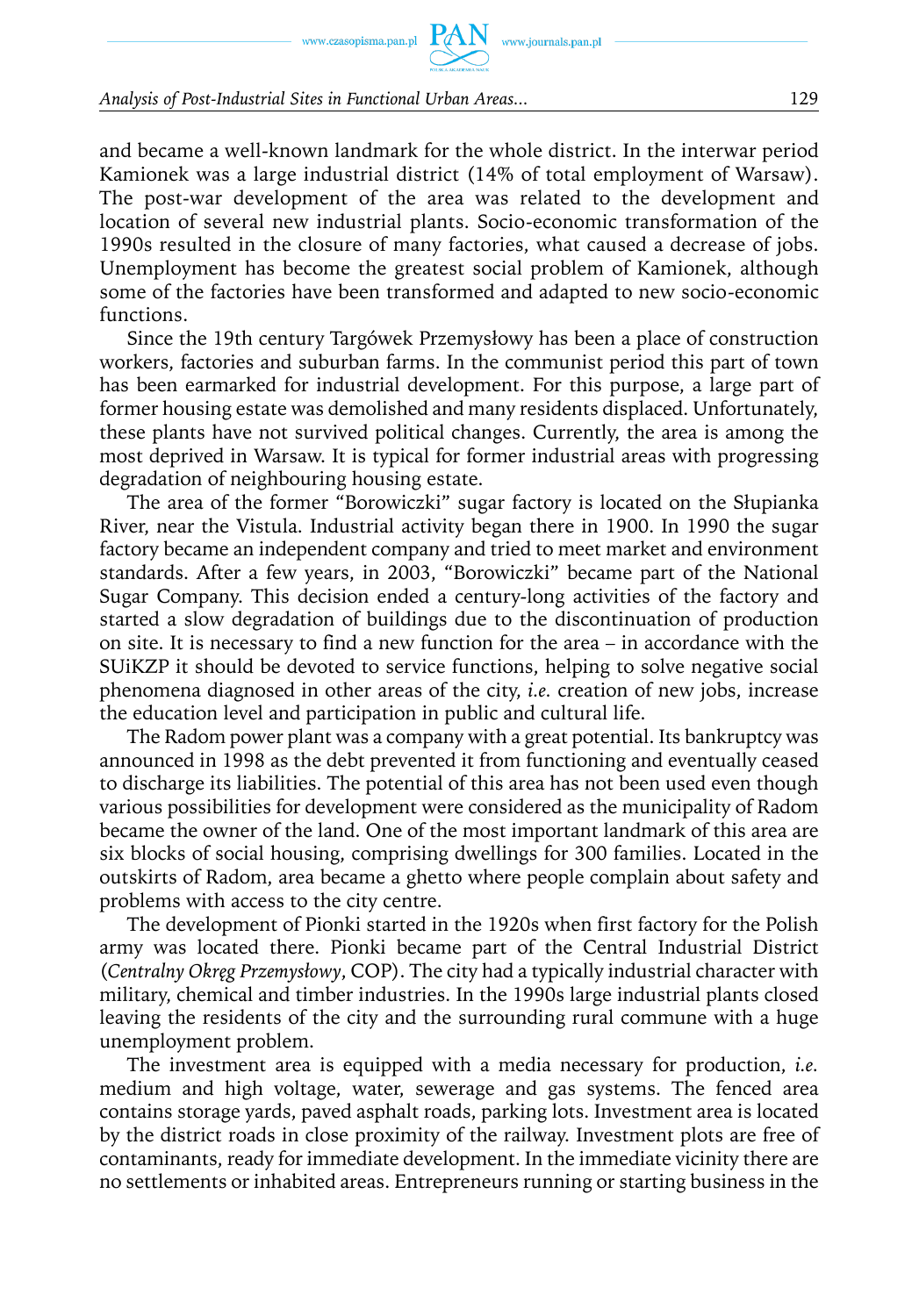and became a well-known landmark for the whole district. In the interwar period Kamionek was a large industrial district (14% of total employment of Warsaw). The post-war development of the area was related to the development and location of several new industrial plants. Socio-economic transformation of the 1990s resulted in the closure of many factories, what caused a decrease of jobs. Unemployment has become the greatest social problem of Kamionek, although some of the factories have been transformed and adapted to new socio-economic functions.

Since the 19th century Targówek Przemysłowy has been a place of construction workers, factories and suburban farms. In the communist period this part of town has been earmarked for industrial development. For this purpose, a large part of former housing estate was demolished and many residents displaced. Unfortunately, these plants have not survived political changes. Currently, the area is among the most deprived in Warsaw. It is typical for former industrial areas with progressing degradation of neighbouring housing estate.

The area of the former "Borowiczki" sugar factory is located on the Słupianka River, near the Vistula. Industrial activity began there in 1900. In 1990 the sugar factory became an independent company and tried to meet market and environment standards. After a few years, in 2003, "Borowiczki" became part of the National Sugar Company. This decision ended a century-long activities of the factory and started a slow degradation of buildings due to the discontinuation of production on site. It is necessary to find a new function for the area – in accordance with the SUiKZP it should be devoted to service functions, helping to solve negative social phenomena diagnosed in other areas of the city, *i.e.* creation of new jobs, increase the education level and participation in public and cultural life.

The Radom power plant was a company with a great potential. Its bankruptcy was announced in 1998 as the debt prevented it from functioning and eventually ceased to discharge its liabilities. The potential of this area has not been used even though various possibilities for development were considered as the municipality of Radom became the owner of the land. One of the most important landmark of this area are six blocks of social housing, comprising dwellings for 300 families. Located in the outskirts of Radom, area became a ghetto where people complain about safety and problems with access to the city centre.

The development of Pionki started in the 1920s when first factory for the Polish army was located there. Pionki became part of the Central Industrial District (*Centralny Okręg Przemysłowy*, COP). The city had a typically industrial character with military, chemical and timber industries. In the 1990s large industrial plants closed leaving the residents of the city and the surrounding rural commune with a huge unemployment problem.

The investment area is equipped with a media necessary for production, *i.e.* medium and high voltage, water, sewerage and gas systems. The fenced area contains storage yards, paved asphalt roads, parking lots. Investment area is located by the district roads in close proximity of the railway. Investment plots are free of contaminants, ready for immediate development. In the immediate vicinity there are no settlements or inhabited areas. Entrepreneurs running or starting business in the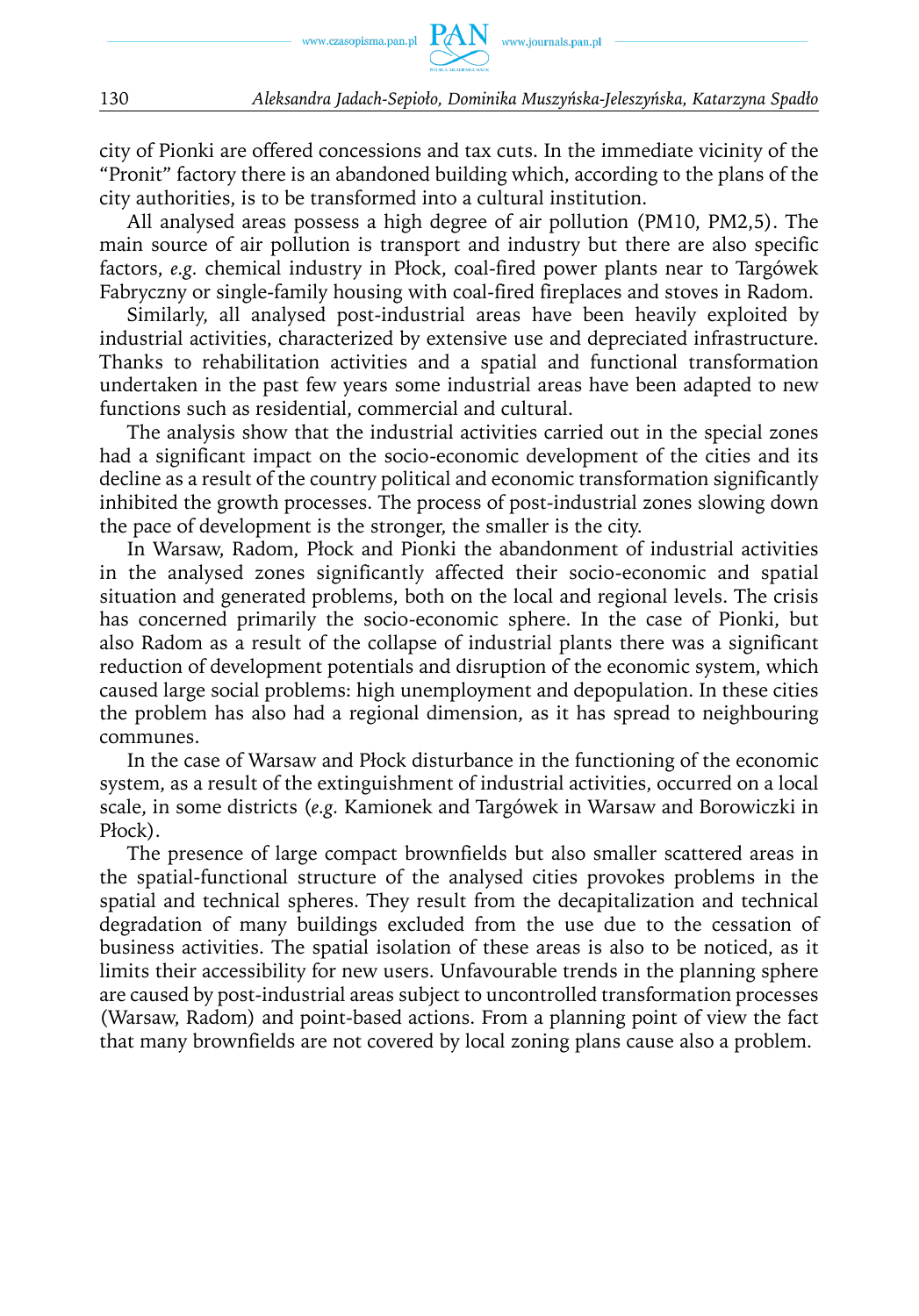

city of Pionki are offered concessions and tax cuts. In the immediate vicinity of the "Pronit" factory there is an abandoned building which, according to the plans of the city authorities, is to be transformed into a cultural institution.

All analysed areas possess a high degree of air pollution (PM10, PM2,5). The main source of air pollution is transport and industry but there are also specific factors, *e.g.* chemical industry in Płock, coal-fired power plants near to Targówek Fabryczny or single-family housing with coal-fired fireplaces and stoves in Radom.

Similarly, all analysed post-industrial areas have been heavily exploited by industrial activities, characterized by extensive use and depreciated infrastructure. Thanks to rehabilitation activities and a spatial and functional transformation undertaken in the past few years some industrial areas have been adapted to new functions such as residential, commercial and cultural.

The analysis show that the industrial activities carried out in the special zones had a significant impact on the socio-economic development of the cities and its decline as a result of the country political and economic transformation significantly inhibited the growth processes. The process of post-industrial zones slowing down the pace of development is the stronger, the smaller is the city.

In Warsaw, Radom, Płock and Pionki the abandonment of industrial activities in the analysed zones significantly affected their socio-economic and spatial situation and generated problems, both on the local and regional levels. The crisis has concerned primarily the socio-economic sphere. In the case of Pionki, but also Radom as a result of the collapse of industrial plants there was a significant reduction of development potentials and disruption of the economic system, which caused large social problems: high unemployment and depopulation. In these cities the problem has also had a regional dimension, as it has spread to neighbouring communes.

In the case of Warsaw and Płock disturbance in the functioning of the economic system, as a result of the extinguishment of industrial activities, occurred on a local scale, in some districts (*e.g.* Kamionek and Targówek in Warsaw and Borowiczki in Płock).

The presence of large compact brownfields but also smaller scattered areas in the spatial-functional structure of the analysed cities provokes problems in the spatial and technical spheres. They result from the decapitalization and technical degradation of many buildings excluded from the use due to the cessation of business activities. The spatial isolation of these areas is also to be noticed, as it limits their accessibility for new users. Unfavourable trends in the planning sphere are caused by post-industrial areas subject to uncontrolled transformation processes (Warsaw, Radom) and point-based actions. From a planning point of view the fact that many brownfields are not covered by local zoning plans cause also a problem.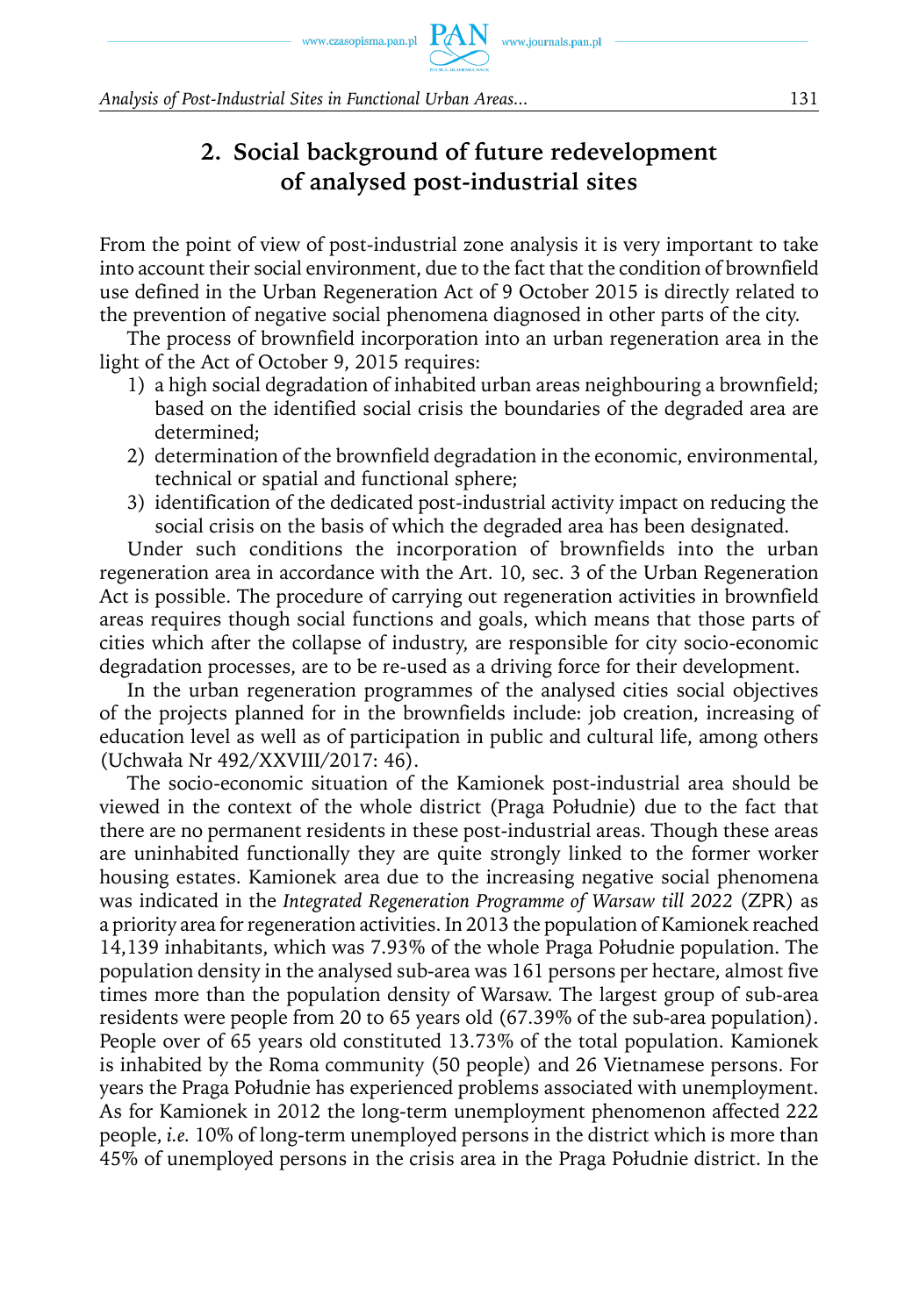## **2. Social background of future redevelopment of analysed post-industrial sites**

From the point of view of post-industrial zone analysis it is very important to take into account their social environment, due to the fact that the condition of brownfield use defined in the Urban Regeneration Act of 9 October 2015 is directly related to the prevention of negative social phenomena diagnosed in other parts of the city.

The process of brownfield incorporation into an urban regeneration area in the light of the Act of October 9, 2015 requires:

- 1) a high social degradation of inhabited urban areas neighbouring a brownfield; based on the identified social crisis the boundaries of the degraded area are determined;
- 2) determination of the brownfield degradation in the economic, environmental, technical or spatial and functional sphere;
- 3) identification of the dedicated post-industrial activity impact on reducing the social crisis on the basis of which the degraded area has been designated.

Under such conditions the incorporation of brownfields into the urban regeneration area in accordance with the Art. 10, sec. 3 of the Urban Regeneration Act is possible. The procedure of carrying out regeneration activities in brownfield areas requires though social functions and goals, which means that those parts of cities which after the collapse of industry, are responsible for city socio-economic degradation processes, are to be re-used as a driving force for their development.

In the urban regeneration programmes of the analysed cities social objectives of the projects planned for in the brownfields include: job creation, increasing of education level as well as of participation in public and cultural life, among others (Uchwała Nr 492/XXVIII/2017: 46).

The socio-economic situation of the Kamionek post-industrial area should be viewed in the context of the whole district (Praga Południe) due to the fact that there are no permanent residents in these post-industrial areas. Though these areas are uninhabited functionally they are quite strongly linked to the former worker housing estates. Kamionek area due to the increasing negative social phenomena was indicated in the *Integrated Regeneration Programme of Warsaw till 2022* (ZPR) as a priority area for regeneration activities. In 2013 the population of Kamionek reached 14,139 inhabitants, which was 7.93% of the whole Praga Południe population. The population density in the analysed sub-area was 161 persons per hectare, almost five times more than the population density of Warsaw. The largest group of sub-area residents were people from 20 to 65 years old (67.39% of the sub-area population). People over of 65 years old constituted 13.73% of the total population. Kamionek is inhabited by the Roma community (50 people) and 26 Vietnamese persons. For years the Praga Południe has experienced problems associated with unemployment. As for Kamionek in 2012 the long-term unemployment phenomenon affected 222 people, *i.e.* 10% of long-term unemployed persons in the district which is more than 45% of unemployed persons in the crisis area in the Praga Południe district. In the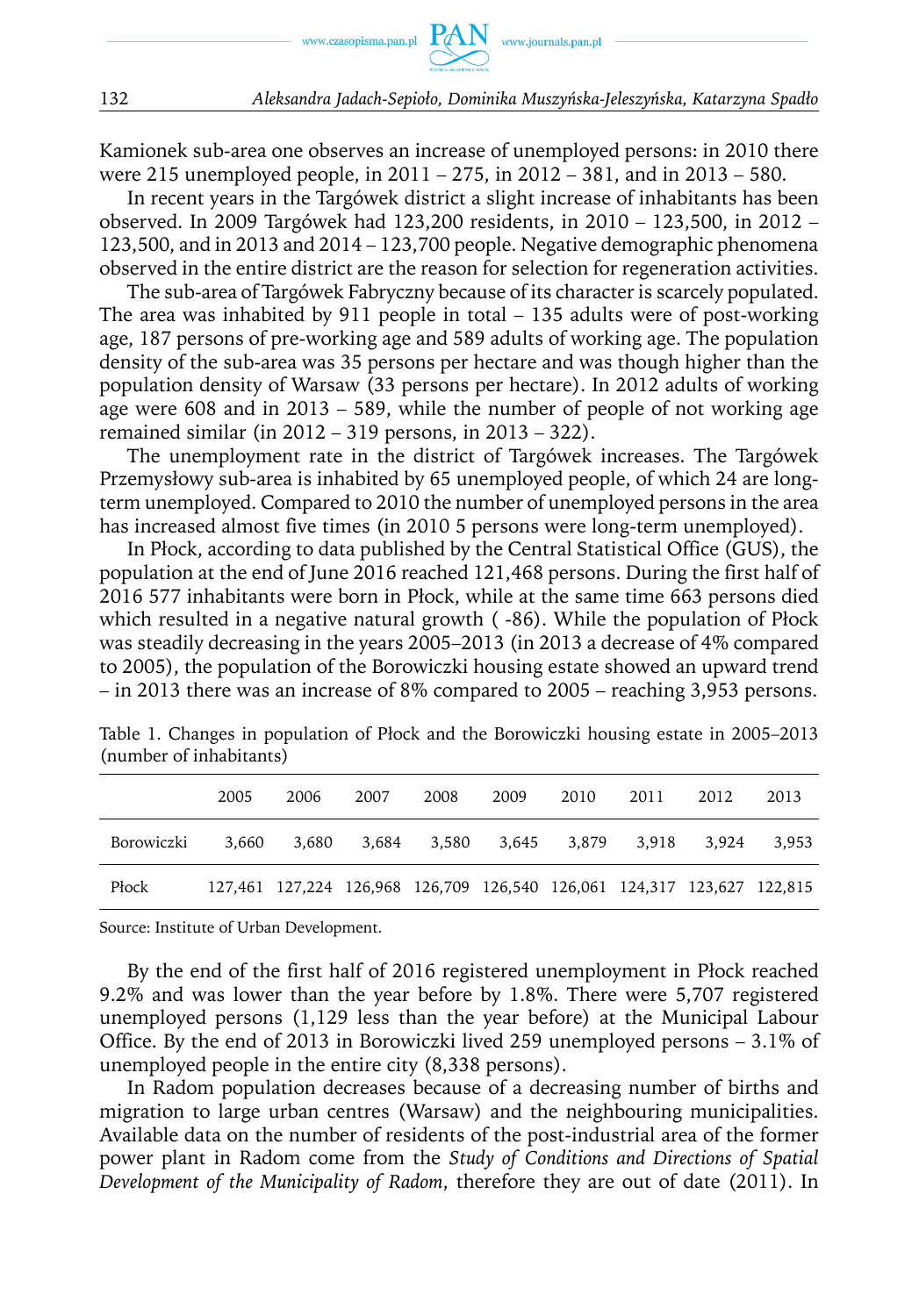Kamionek sub-area one observes an increase of unemployed persons: in 2010 there were 215 unemployed people, in 2011 – 275, in 2012 – 381, and in 2013 – 580.

In recent years in the Targówek district a slight increase of inhabitants has been observed. In 2009 Targówek had 123,200 residents, in 2010 – 123,500, in 2012 – 123,500, and in 2013 and 2014 – 123,700 people. Negative demographic phenomena observed in the entire district are the reason for selection for regeneration activities.

The sub-area of Targówek Fabryczny because of its character is scarcely populated. The area was inhabited by 911 people in total – 135 adults were of post-working age, 187 persons of pre-working age and 589 adults of working age. The population density of the sub-area was 35 persons per hectare and was though higher than the population density of Warsaw (33 persons per hectare). In 2012 adults of working age were 608 and in 2013 – 589, while the number of people of not working age remained similar (in 2012 – 319 persons, in 2013 – 322).

The unemployment rate in the district of Targówek increases. The Targówek Przemysłowy sub-area is inhabited by 65 unemployed people, of which 24 are longterm unemployed. Compared to 2010 the number of unemployed persons in the area has increased almost five times (in 2010 5 persons were long-term unemployed).

In Płock, according to data published by the Central Statistical Office (GUS), the population at the end of June 2016 reached 121,468 persons. During the first half of 2016 577 inhabitants were born in Płock, while at the same time 663 persons died which resulted in a negative natural growth  $(-86)$ . While the population of Płock was steadily decreasing in the years 2005–2013 (in 2013 a decrease of 4% compared to 2005), the population of the Borowiczki housing estate showed an upward trend – in 2013 there was an increase of 8% compared to 2005 – reaching 3,953 persons.

|            | 2005 | 2006                                                                    | 2007 | 2008 | 2009 | 2010 | 2011 | 2012 | 2013  |
|------------|------|-------------------------------------------------------------------------|------|------|------|------|------|------|-------|
| Borowiczki |      | 3,660 3,680 3,684 3,580 3,645 3,879 3,918 3,924                         |      |      |      |      |      |      | 3.953 |
| Płock      |      | 127,461 127,224 126,968 126,709 126,540 126,061 124,317 123,627 122,815 |      |      |      |      |      |      |       |

Table 1. Changes in population of Płock and the Borowiczki housing estate in 2005–2013 (number of inhabitants)

Source: Institute of Urban Development.

By the end of the first half of 2016 registered unemployment in Płock reached 9.2% and was lower than the year before by 1.8%. There were 5,707 registered unemployed persons (1,129 less than the year before) at the Municipal Labour Office. By the end of 2013 in Borowiczki lived 259 unemployed persons – 3.1% of unemployed people in the entire city (8,338 persons).

In Radom population decreases because of a decreasing number of births and migration to large urban centres (Warsaw) and the neighbouring municipalities. Available data on the number of residents of the post-industrial area of the former power plant in Radom come from the *Study of Conditions and Directions of Spatial Development of the Municipality of Radom*, therefore they are out of date (2011). In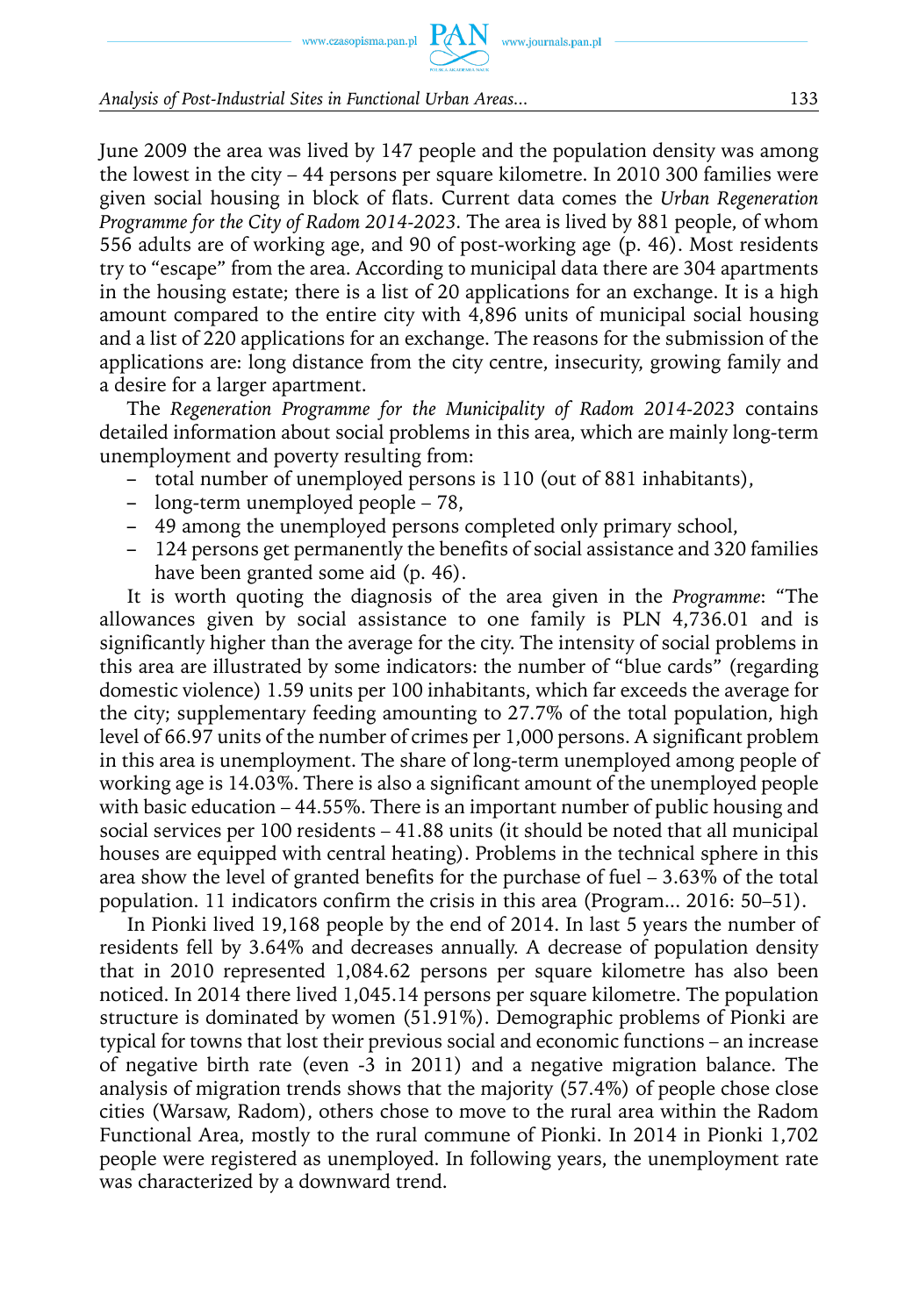#### *Analysis of Post-Industrial Sites in Functional Urban Areas...* 133

June 2009 the area was lived by 147 people and the population density was among the lowest in the city – 44 persons per square kilometre. In 2010 300 families were given social housing in block of flats. Current data comes the *Urban Regeneration Programme for the City of Radom 2014-2023.* The area is lived by 881 people, of whom 556 adults are of working age, and 90 of post-working age (p. 46). Most residents try to "escape" from the area. According to municipal data there are 304 apartments in the housing estate; there is a list of 20 applications for an exchange. It is a high amount compared to the entire city with 4,896 units of municipal social housing and a list of 220 applications for an exchange. The reasons for the submission of the applications are: long distance from the city centre, insecurity, growing family and a desire for a larger apartment.

The *Regeneration Programme for the Municipality of Radom 2014-2023* contains detailed information about social problems in this area, which are mainly long-term unemployment and poverty resulting from:

- total number of unemployed persons is 110 (out of 881 inhabitants),
- long-term unemployed people 78,
- 49 among the unemployed persons completed only primary school,
- 124 persons get permanently the benefits of social assistance and 320 families have been granted some aid (p. 46).

It is worth quoting the diagnosis of the area given in the *Programme*: "The allowances given by social assistance to one family is PLN 4,736.01 and is significantly higher than the average for the city. The intensity of social problems in this area are illustrated by some indicators: the number of "blue cards" (regarding domestic violence) 1.59 units per 100 inhabitants, which far exceeds the average for the city; supplementary feeding amounting to 27.7% of the total population, high level of 66.97 units of the number of crimes per 1,000 persons. A significant problem in this area is unemployment. The share of long-term unemployed among people of working age is 14.03%. There is also a significant amount of the unemployed people with basic education – 44.55%. There is an important number of public housing and social services per 100 residents  $-41.88$  units (it should be noted that all municipal houses are equipped with central heating). Problems in the technical sphere in this area show the level of granted benefits for the purchase of fuel – 3.63% of the total population. 11 indicators confirm the crisis in this area (Program... 2016: 50–51).

In Pionki lived 19,168 people by the end of 2014. In last 5 years the number of residents fell by 3.64% and decreases annually. A decrease of population density that in 2010 represented 1,084.62 persons per square kilometre has also been noticed. In 2014 there lived 1,045.14 persons per square kilometre. The population structure is dominated by women (51.91%). Demographic problems of Pionki are typical for towns that lost their previous social and economic functions – an increase of negative birth rate (even -3 in 2011) and a negative migration balance. The analysis of migration trends shows that the majority (57.4%) of people chose close cities (Warsaw, Radom), others chose to move to the rural area within the Radom Functional Area, mostly to the rural commune of Pionki. In 2014 in Pionki 1,702 people were registered as unemployed. In following years, the unemployment rate was characterized by a downward trend.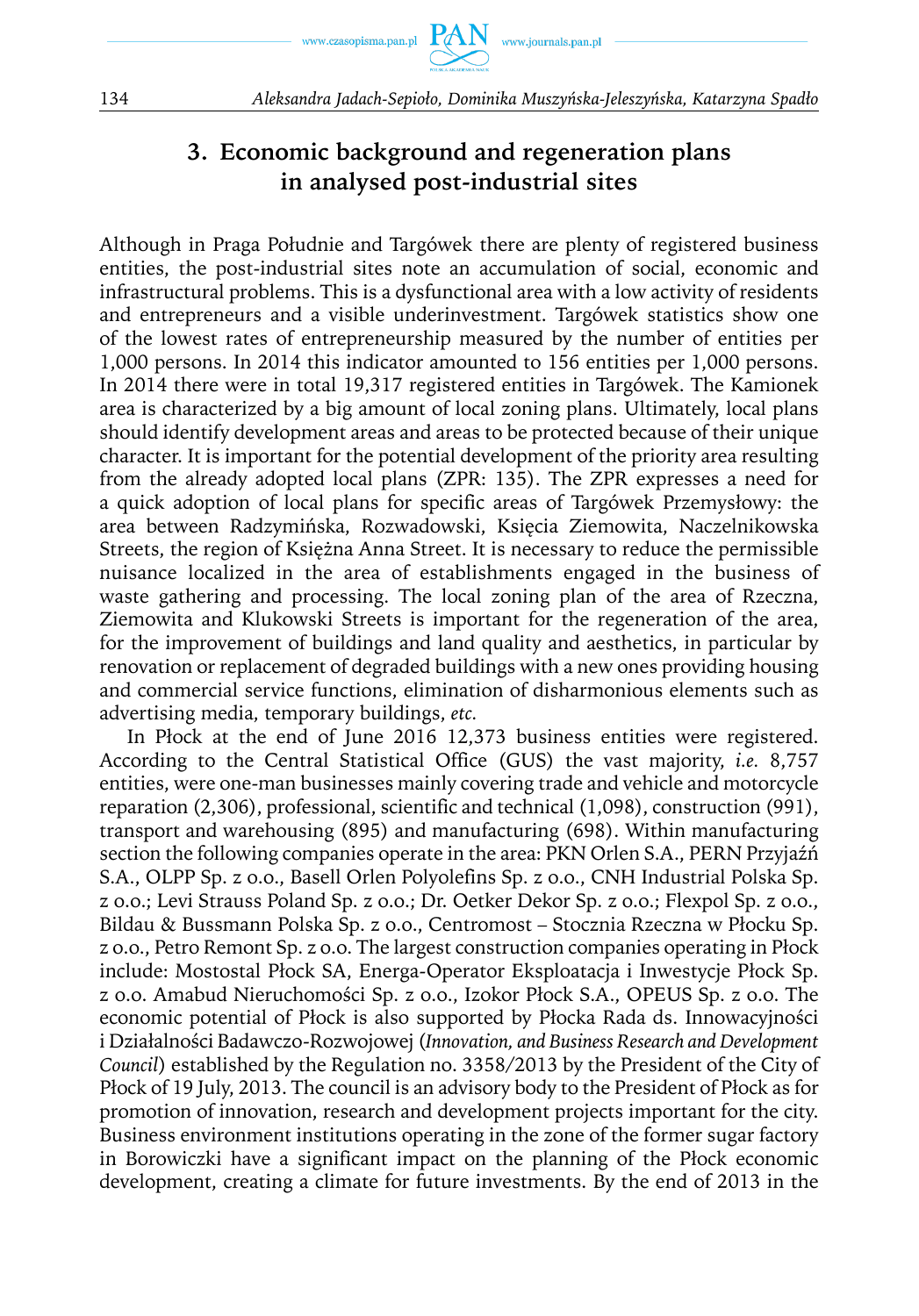

## **3. Economic background and regeneration plans in analysed post-industrial sites**

Although in Praga Południe and Targówek there are plenty of registered business entities, the post-industrial sites note an accumulation of social, economic and infrastructural problems. This is a dysfunctional area with a low activity of residents and entrepreneurs and a visible underinvestment. Targówek statistics show one of the lowest rates of entrepreneurship measured by the number of entities per 1,000 persons. In 2014 this indicator amounted to 156 entities per 1,000 persons. In 2014 there were in total 19,317 registered entities in Targówek. The Kamionek area is characterized by a big amount of local zoning plans. Ultimately, local plans should identify development areas and areas to be protected because of their unique character. It is important for the potential development of the priority area resulting from the already adopted local plans (ZPR: 135). The ZPR expresses a need for a quick adoption of local plans for specific areas of Targówek Przemysłowy: the area between Radzymińska, Rozwadowski, Księcia Ziemowita, Naczelnikowska Streets, the region of Księżna Anna Street. It is necessary to reduce the permissible nuisance localized in the area of establishments engaged in the business of waste gathering and processing. The local zoning plan of the area of Rzeczna, Ziemowita and Klukowski Streets is important for the regeneration of the area, for the improvement of buildings and land quality and aesthetics, in particular by renovation or replacement of degraded buildings with a new ones providing housing and commercial service functions, elimination of disharmonious elements such as advertising media, temporary buildings, *etc.*

In Płock at the end of June 2016 12,373 business entities were registered. According to the Central Statistical Office (GUS) the vast majority, *i.e.* 8,757 entities, were one-man businesses mainly covering trade and vehicle and motorcycle reparation (2,306), professional, scientific and technical (1,098), construction (991), transport and warehousing (895) and manufacturing (698). Within manufacturing section the following companies operate in the area: PKN Orlen S.A., PERN Przyjaźń S.A., OLPP Sp. z o.o., Basell Orlen Polyolefins Sp. z o.o., CNH Industrial Polska Sp. z o.o.; Levi Strauss Poland Sp. z o.o.; Dr. Oetker Dekor Sp. z o.o.; Flexpol Sp. z o.o., Bildau & Bussmann Polska Sp. z o.o., Centromost – Stocznia Rzeczna w Płocku Sp. z o.o., Petro Remont Sp. z o.o. The largest construction companies operating in Płock include: Mostostal Płock SA, Energa-Operator Eksploatacja i Inwestycje Płock Sp. z o.o. Amabud Nieruchomości Sp. z o.o., Izokor Płock S.A., OPEUS Sp. z o.o. The economic potential of Płock is also supported by Płocka Rada ds. Innowacyjności i Działalności Badawczo-Rozwojowej (*Innovation, and Business Research and Development Council*) established by the Regulation no. 3358/2013 by the President of the City of Płock of 19 July, 2013. The council is an advisory body to the President of Płock as for promotion of innovation, research and development projects important for the city. Business environment institutions operating in the zone of the former sugar factory in Borowiczki have a significant impact on the planning of the Płock economic development, creating a climate for future investments. By the end of 2013 in the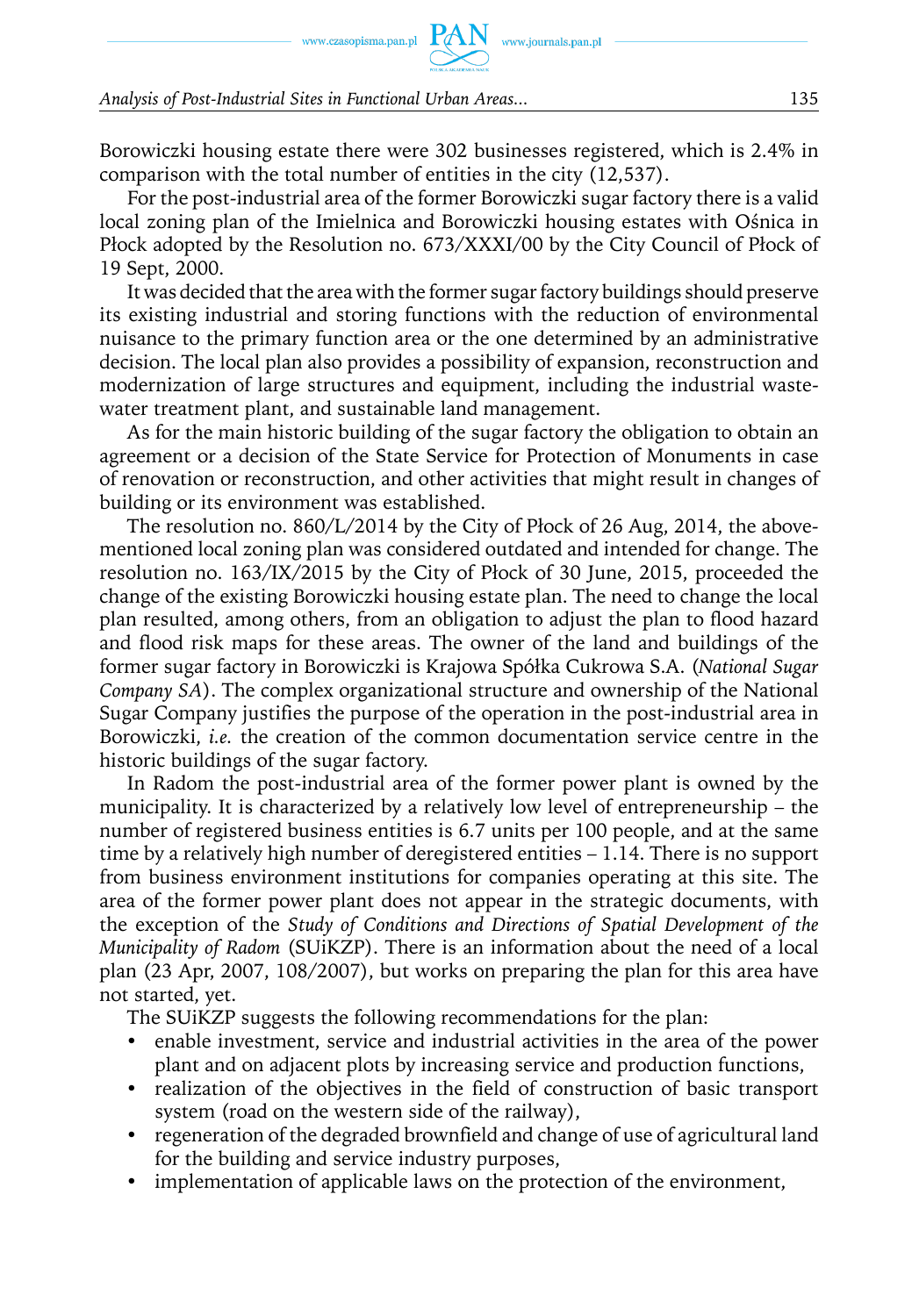#### *Analysis of Post-Industrial Sites in Functional Urban Areas...* 135

Borowiczki housing estate there were 302 businesses registered, which is 2.4% in comparison with the total number of entities in the city (12,537).

For the post-industrial area of the former Borowiczki sugar factory there is a valid local zoning plan of the Imielnica and Borowiczki housing estates with Ośnica in Płock adopted by the Resolution no. 673/XXXI/00 by the City Council of Płock of 19 Sept, 2000.

It was decided that the area with the former sugar factory buildings should preserve its existing industrial and storing functions with the reduction of environmental nuisance to the primary function area or the one determined by an administrative decision. The local plan also provides a possibility of expansion, reconstruction and modernization of large structures and equipment, including the industrial wastewater treatment plant, and sustainable land management.

As for the main historic building of the sugar factory the obligation to obtain an agreement or a decision of the State Service for Protection of Monuments in case of renovation or reconstruction, and other activities that might result in changes of building or its environment was established.

The resolution no. 860/L/2014 by the City of Płock of 26 Aug, 2014, the abovementioned local zoning plan was considered outdated and intended for change. The resolution no. 163/IX/2015 by the City of Płock of 30 June, 2015, proceeded the change of the existing Borowiczki housing estate plan. The need to change the local plan resulted, among others, from an obligation to adjust the plan to flood hazard and flood risk maps for these areas. The owner of the land and buildings of the former sugar factory in Borowiczki is Krajowa Spółka Cukrowa S.A. (*National Sugar Company SA*). The complex organizational structure and ownership of the National Sugar Company justifies the purpose of the operation in the post-industrial area in Borowiczki, *i.e.* the creation of the common documentation service centre in the historic buildings of the sugar factory.

In Radom the post-industrial area of the former power plant is owned by the municipality. It is characterized by a relatively low level of entrepreneurship – the number of registered business entities is 6.7 units per 100 people, and at the same time by a relatively high number of deregistered entities – 1.14. There is no support from business environment institutions for companies operating at this site. The area of the former power plant does not appear in the strategic documents, with the exception of the *Study of Conditions and Directions of Spatial Development of the Municipality of Radom* (SUiKZP). There is an information about the need of a local plan (23 Apr, 2007, 108/2007), but works on preparing the plan for this area have not started, yet.

The SUiKZP suggests the following recommendations for the plan:

- enable investment, service and industrial activities in the area of the power plant and on adjacent plots by increasing service and production functions,
- realization of the objectives in the field of construction of basic transport system (road on the western side of the railway),
- regeneration of the degraded brownfield and change of use of agricultural land for the building and service industry purposes,
- implementation of applicable laws on the protection of the environment,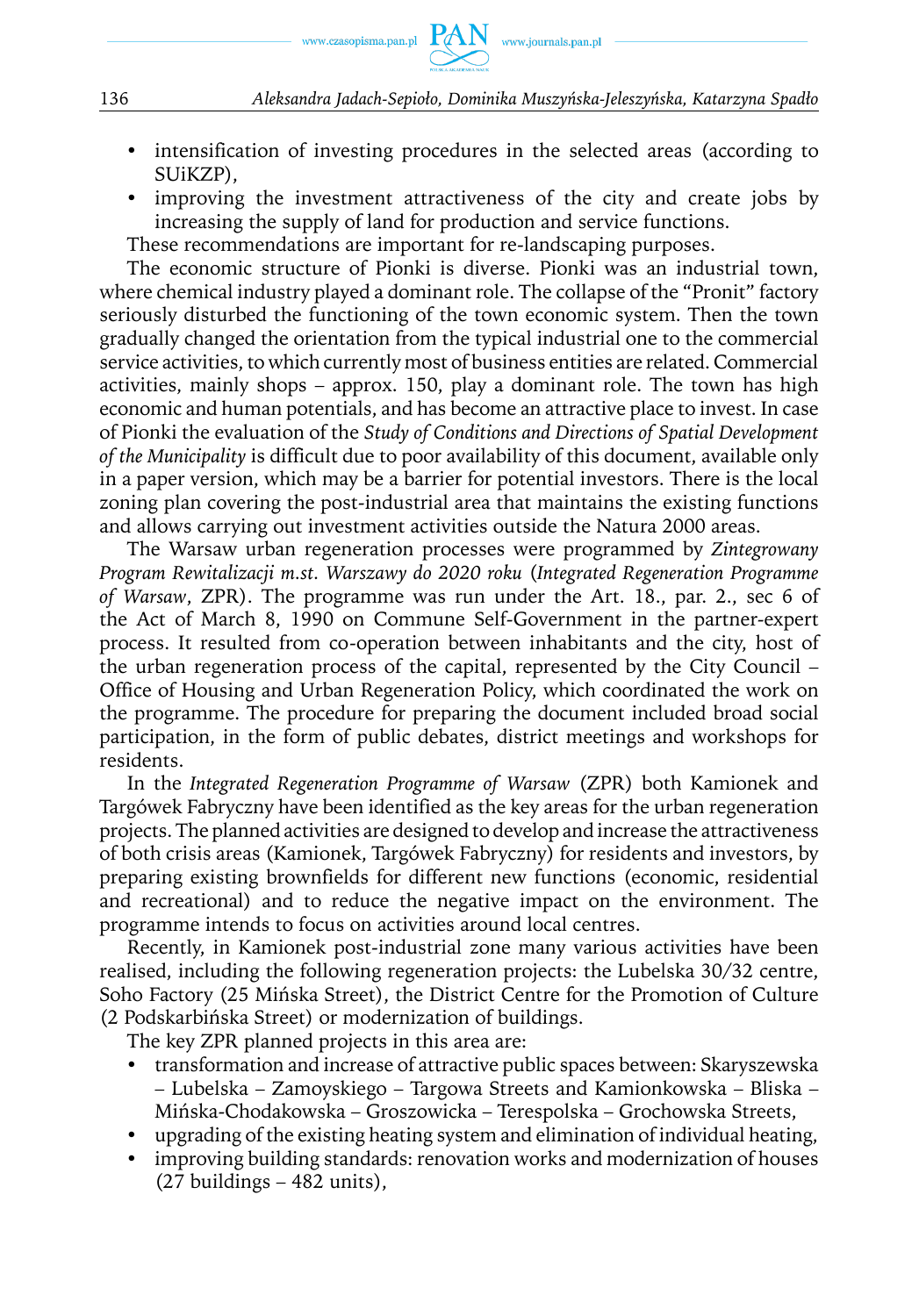

- intensification of investing procedures in the selected areas (according to SUiKZP),
- improving the investment attractiveness of the city and create jobs by increasing the supply of land for production and service functions.

These recommendations are important for re-landscaping purposes.

The economic structure of Pionki is diverse. Pionki was an industrial town, where chemical industry played a dominant role. The collapse of the "Pronit" factory seriously disturbed the functioning of the town economic system. Then the town gradually changed the orientation from the typical industrial one to the commercial service activities, to which currently most of business entities are related. Commercial activities, mainly shops – approx. 150, play a dominant role. The town has high economic and human potentials, and has become an attractive place to invest. In case of Pionki the evaluation of the *Study of Conditions and Directions of Spatial Development of the Municipality* is difficult due to poor availability of this document, available only in a paper version, which may be a barrier for potential investors. There is the local zoning plan covering the post-industrial area that maintains the existing functions and allows carrying out investment activities outside the Natura 2000 areas.

The Warsaw urban regeneration processes were programmed by *Zintegrowany Program Rewitalizacji m.st. Warszawy do 2020 roku* (*Integrated Regeneration Programme of Warsaw*, ZPR). The programme was run under the Art. 18., par. 2., sec 6 of the Act of March 8, 1990 on Commune Self-Government in the partner-expert process. It resulted from co-operation between inhabitants and the city, host of the urban regeneration process of the capital, represented by the City Council – Office of Housing and Urban Regeneration Policy, which coordinated the work on the programme. The procedure for preparing the document included broad social participation, in the form of public debates, district meetings and workshops for residents.

In the *Integrated Regeneration Programme of Warsaw* (ZPR) both Kamionek and Targówek Fabryczny have been identified as the key areas for the urban regeneration projects. The planned activities are designed to develop and increase the attractiveness of both crisis areas (Kamionek, Targówek Fabryczny) for residents and investors, by preparing existing brownfields for different new functions (economic, residential and recreational) and to reduce the negative impact on the environment. The programme intends to focus on activities around local centres.

Recently, in Kamionek post-industrial zone many various activities have been realised, including the following regeneration projects: the Lubelska 30/32 centre, Soho Factory (25 Mińska Street), the District Centre for the Promotion of Culture (2 Podskarbińska Street) or modernization of buildings.

The key ZPR planned projects in this area are:

- transformation and increase of attractive public spaces between: Skaryszewska – Lubelska – Zamoyskiego – Targowa Streets and Kamionkowska – Bliska – Mińska-Chodakowska – Groszowicka – Terespolska – Grochowska Streets,
- upgrading of the existing heating system and elimination of individual heating,
- improving building standards: renovation works and modernization of houses (27 buildings – 482 units),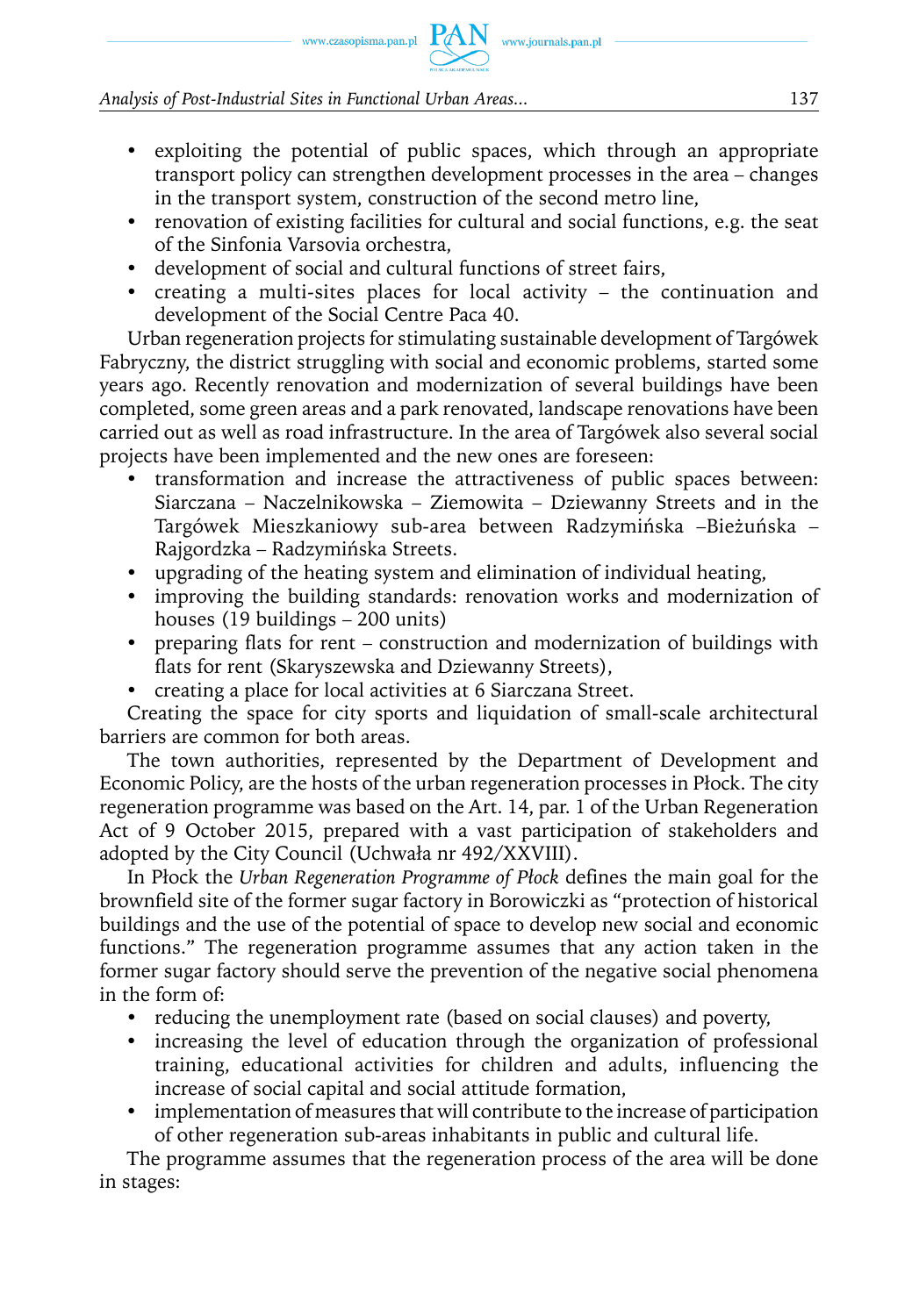*Analysis of Post-Industrial Sites in Functional Urban Areas...* 137

- exploiting the potential of public spaces, which through an appropriate transport policy can strengthen development processes in the area – changes in the transport system, construction of the second metro line,
- renovation of existing facilities for cultural and social functions, e.g. the seat of the Sinfonia Varsovia orchestra,
- development of social and cultural functions of street fairs,
- creating a multi-sites places for local activity the continuation and development of the Social Centre Paca 40.

Urban regeneration projects for stimulating sustainable development of Targówek Fabryczny, the district struggling with social and economic problems, started some years ago. Recently renovation and modernization of several buildings have been completed, some green areas and a park renovated, landscape renovations have been carried out as well as road infrastructure. In the area of Targówek also several social projects have been implemented and the new ones are foreseen:

- y transformation and increase the attractiveness of public spaces between: Siarczana – Naczelnikowska – Ziemowita – Dziewanny Streets and in the Targówek Mieszkaniowy sub-area between Radzymińska –Bieżuńska – Rajgordzka – Radzymińska Streets.
- upgrading of the heating system and elimination of individual heating,
- improving the building standards: renovation works and modernization of houses (19 buildings – 200 units)
- preparing flats for rent construction and modernization of buildings with flats for rent (Skaryszewska and Dziewanny Streets),
- creating a place for local activities at 6 Siarczana Street.

Creating the space for city sports and liquidation of small-scale architectural barriers are common for both areas.

The town authorities, represented by the Department of Development and Economic Policy, are the hosts of the urban regeneration processes in Płock. The city regeneration programme was based on the Art. 14, par. 1 of the Urban Regeneration Act of 9 October 2015, prepared with a vast participation of stakeholders and adopted by the City Council (Uchwała nr 492/XXVIII).

In Płock the *Urban Regeneration Programme of Płock* defines the main goal for the brownfield site of the former sugar factory in Borowiczki as "protection of historical buildings and the use of the potential of space to develop new social and economic functions." The regeneration programme assumes that any action taken in the former sugar factory should serve the prevention of the negative social phenomena in the form of:

- reducing the unemployment rate (based on social clauses) and poverty,
- increasing the level of education through the organization of professional training, educational activities for children and adults, influencing the increase of social capital and social attitude formation,
- implementation of measures that will contribute to the increase of participation of other regeneration sub-areas inhabitants in public and cultural life.

The programme assumes that the regeneration process of the area will be done in stages: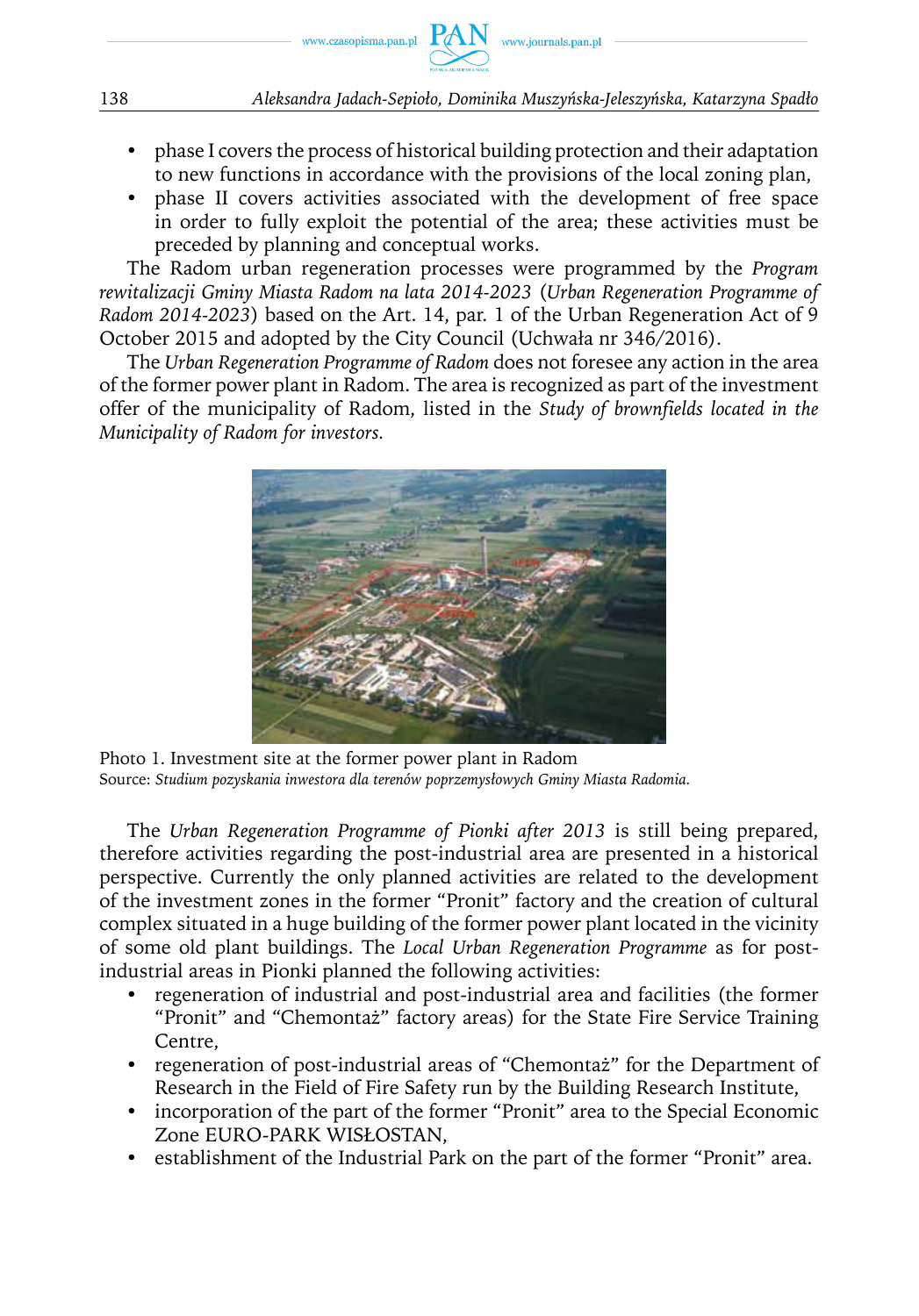

- phase I covers the process of historical building protection and their adaptation to new functions in accordance with the provisions of the local zoning plan,
- phase II covers activities associated with the development of free space in order to fully exploit the potential of the area; these activities must be preceded by planning and conceptual works.

The Radom urban regeneration processes were programmed by the *Program rewitalizacji Gminy Miasta Radom na lata 2014-2023* (*Urban Regeneration Programme of Radom 2014-2023*) based on the Art. 14, par. 1 of the Urban Regeneration Act of 9 October 2015 and adopted by the City Council (Uchwała nr 346/2016).

The *Urban Regeneration Programme of Radom* does not foresee any action in the area of the former power plant in Radom. The area is recognized as part of the investment offer of the municipality of Radom, listed in the *Study of brownfields located in the Municipality of Radom for investors.*



Photo 1. Investment site at the former power plant in Radom Source: *Studium pozyskania inwestora dla terenów poprzemysłowych Gminy Miasta Radomia.*

The *Urban Regeneration Programme of Pionki after 2013* is still being prepared, therefore activities regarding the post-industrial area are presented in a historical perspective. Currently the only planned activities are related to the development of the investment zones in the former "Pronit" factory and the creation of cultural complex situated in a huge building of the former power plant located in the vicinity of some old plant buildings. The *Local Urban Regeneration Programme* as for postindustrial areas in Pionki planned the following activities:

- regeneration of industrial and post-industrial area and facilities (the former "Pronit" and "Chemontaż" factory areas) for the State Fire Service Training Centre,
- regeneration of post-industrial areas of "Chemontaż" for the Department of Research in the Field of Fire Safety run by the Building Research Institute,
- incorporation of the part of the former "Pronit" area to the Special Economic Zone EURO-PARK WISŁOSTAN,
- establishment of the Industrial Park on the part of the former "Pronit" area.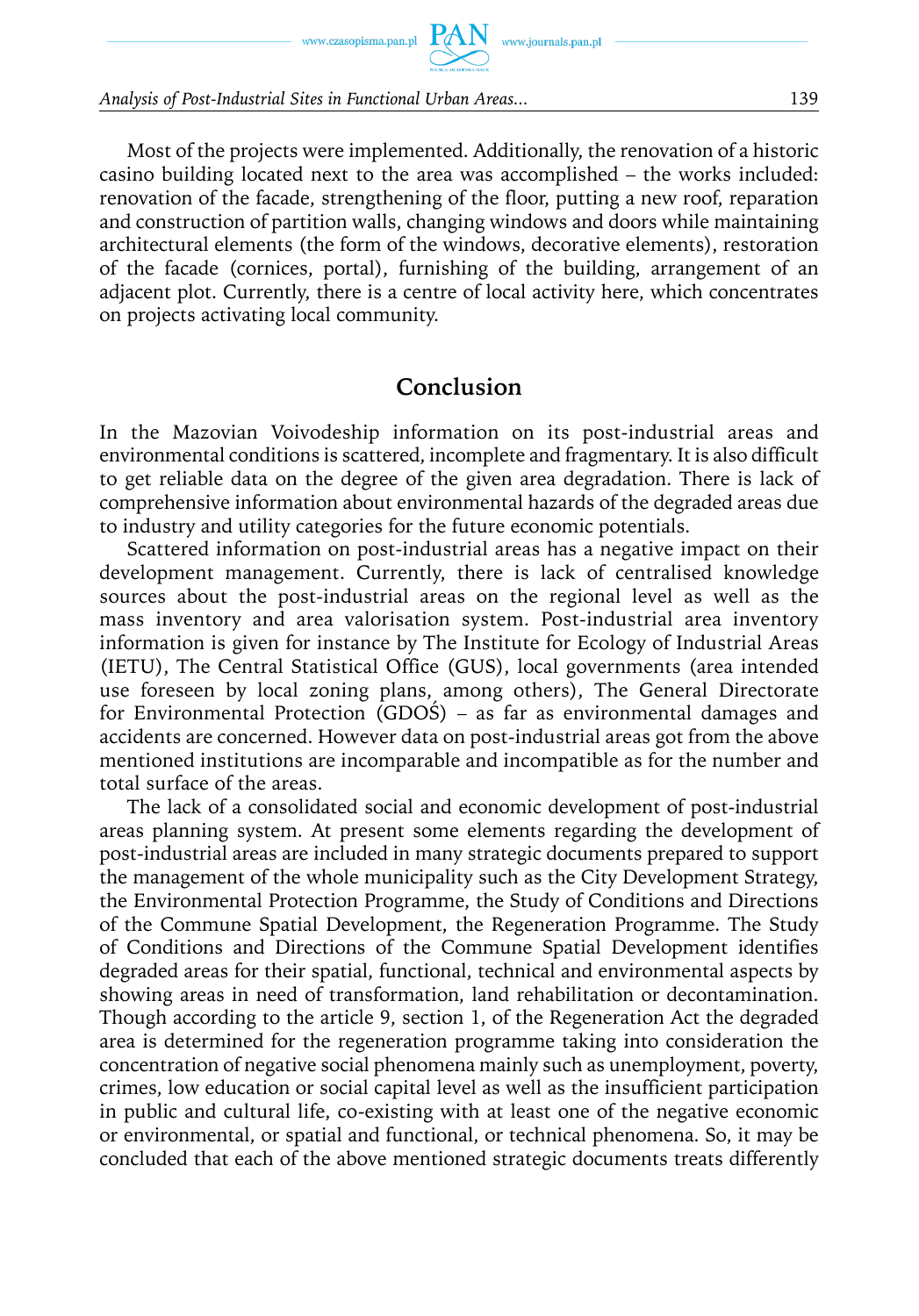$\begin{picture}(120,110) \put(0,0){\vector(1,0){100}} \put(15,0){\vector(1,0){100}} \put(15,0){\vector(1,0){100}} \put(15,0){\vector(1,0){100}} \put(15,0){\vector(1,0){100}} \put(15,0){\vector(1,0){100}} \put(15,0){\vector(1,0){100}} \put(15,0){\vector(1,0){100}} \put(15,0){\vector(1,0){100}} \put(15,0){\vector(1,0){100}} \put(15,0){\vector(1,0){100$ 

*Analysis of Post-Industrial Sites in Functional Urban Areas...* 139

Most of the projects were implemented. Additionally, the renovation of a historic casino building located next to the area was accomplished – the works included: renovation of the facade, strengthening of the floor, putting a new roof, reparation and construction of partition walls, changing windows and doors while maintaining architectural elements (the form of the windows, decorative elements), restoration of the facade (cornices, portal), furnishing of the building, arrangement of an adjacent plot. Currently, there is a centre of local activity here, which concentrates on projects activating local community.

### **Conclusion**

In the Mazovian Voivodeship information on its post-industrial areas and environmental conditions is scattered, incomplete and fragmentary. It is also difficult to get reliable data on the degree of the given area degradation. There is lack of comprehensive information about environmental hazards of the degraded areas due to industry and utility categories for the future economic potentials.

Scattered information on post-industrial areas has a negative impact on their development management. Currently, there is lack of centralised knowledge sources about the post-industrial areas on the regional level as well as the mass inventory and area valorisation system. Post-industrial area inventory information is given for instance by The Institute for Ecology of Industrial Areas (IETU), The Central Statistical Office (GUS), local governments (area intended use foreseen by local zoning plans, among others), The General Directorate for Environmental Protection (GDOŚ) – as far as environmental damages and accidents are concerned. However data on post-industrial areas got from the above mentioned institutions are incomparable and incompatible as for the number and total surface of the areas.

The lack of a consolidated social and economic development of post-industrial areas planning system. At present some elements regarding the development of post-industrial areas are included in many strategic documents prepared to support the management of the whole municipality such as the City Development Strategy, the Environmental Protection Programme, the Study of Conditions and Directions of the Commune Spatial Development, the Regeneration Programme. The Study of Conditions and Directions of the Commune Spatial Development identifies degraded areas for their spatial, functional, technical and environmental aspects by showing areas in need of transformation, land rehabilitation or decontamination. Though according to the article 9, section 1, of the Regeneration Act the degraded area is determined for the regeneration programme taking into consideration the concentration of negative social phenomena mainly such as unemployment, poverty, crimes, low education or social capital level as well as the insufficient participation in public and cultural life, co-existing with at least one of the negative economic or environmental, or spatial and functional, or technical phenomena. So, it may be concluded that each of the above mentioned strategic documents treats differently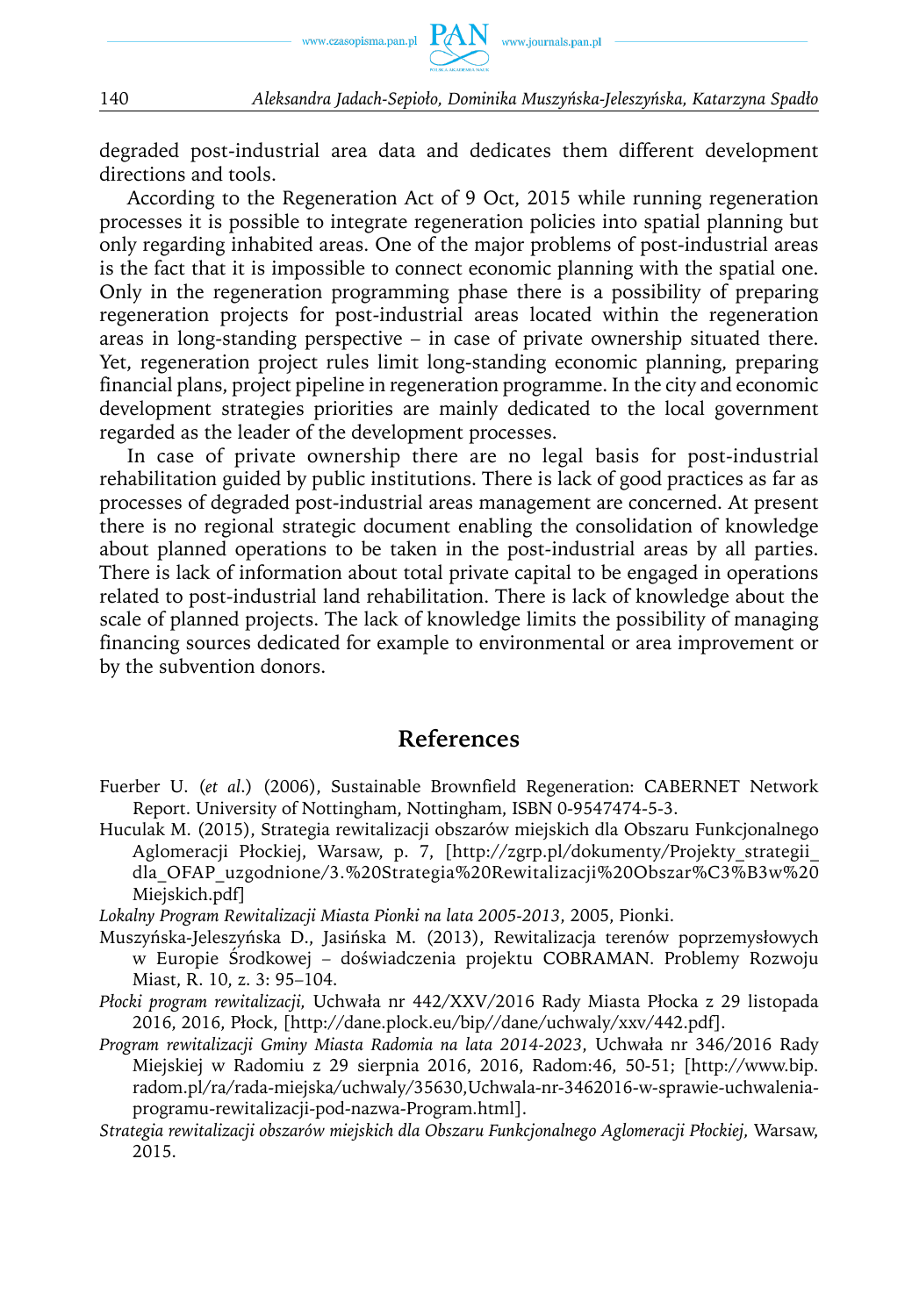

degraded post-industrial area data and dedicates them different development directions and tools.

According to the Regeneration Act of 9 Oct, 2015 while running regeneration processes it is possible to integrate regeneration policies into spatial planning but only regarding inhabited areas. One of the major problems of post-industrial areas is the fact that it is impossible to connect economic planning with the spatial one. Only in the regeneration programming phase there is a possibility of preparing regeneration projects for post-industrial areas located within the regeneration areas in long-standing perspective – in case of private ownership situated there. Yet, regeneration project rules limit long-standing economic planning, preparing financial plans, project pipeline in regeneration programme. In the city and economic development strategies priorities are mainly dedicated to the local government regarded as the leader of the development processes.

In case of private ownership there are no legal basis for post-industrial rehabilitation guided by public institutions. There is lack of good practices as far as processes of degraded post-industrial areas management are concerned. At present there is no regional strategic document enabling the consolidation of knowledge about planned operations to be taken in the post-industrial areas by all parties. There is lack of information about total private capital to be engaged in operations related to post-industrial land rehabilitation. There is lack of knowledge about the scale of planned projects. The lack of knowledge limits the possibility of managing financing sources dedicated for example to environmental or area improvement or by the subvention donors.

#### **References**

- Fuerber U. (*et al*.) (2006), Sustainable Brownfield Regeneration: CABERNET Network Report. University of Nottingham, Nottingham, ISBN 0-9547474-5-3.
- Huculak M. (2015), Strategia rewitalizacji obszarów miejskich dla Obszaru Funkcjonalnego Aglomeracji Płockiej, Warsaw, p. 7, [http://zgrp.pl/dokumenty/Projekty\_strategii\_ dla\_OFAP\_uzgodnione/3.%20Strategia%20Rewitalizacji%20Obszar%C3%B3w%20 Miejskich.pdf]

*Lokalny Program Rewitalizacji Miasta Pionki na lata 2005-2013*, 2005, Pionki.

- Muszyńska-Jeleszyńska D., Jasińska M. (2013), Rewitalizacja terenów poprzemysłowych w Europie Środkowej – doświadczenia projektu COBRAMAN. Problemy Rozwoju Miast, R. 10, z. 3: 95–104.
- *Płocki program rewitalizacji,* Uchwała nr 442/XXV/2016 Rady Miasta Płocka z 29 listopada 2016, 2016, Płock, [http://dane.plock.eu/bip//dane/uchwaly/xxv/442.pdf].
- *Program rewitalizacji Gminy Miasta Radomia na lata 2014-2023*, Uchwała nr 346/2016 Rady Miejskiej w Radomiu z 29 sierpnia 2016, 2016, Radom:46, 50-51; [http://www.bip. radom.pl/ra/rada-miejska/uchwaly/35630,Uchwala-nr-3462016-w-sprawie-uchwaleniaprogramu-rewitalizacji-pod-nazwa-Program.html].
- *Strategia rewitalizacji obszarów miejskich dla Obszaru Funkcjonalnego Aglomeracji Płockiej,* Warsaw, 2015.